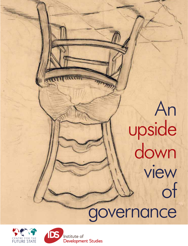An upside down view of governance



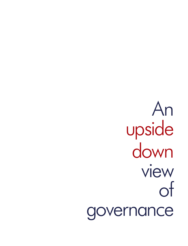# upside down view of governance

An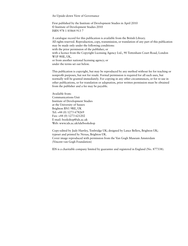An Upside-down View of Governance

First published by the Institute of Development Studies in April 2010 © Institute of Development Studies 2010 ISBN 978 1 85864 913 7

A catalogue record for this publication is available from the British Library. All rights reserved. Reproduction, copy, transmission, or translation of any part of this publication may be made only under the following conditions: with the prior permission of the publisher; or with a licence from the Copyright Licensing Agency Ltd., 90 Tottenham Court Road, London W1P 9HE, UK, or from another national licensing agency; or under the terms set out below.

This publication is copyright, but may be reproduced by any method without fee for teaching or nonprofit purposes, but not for resale. Formal permission is required for all such uses, but normally will be granted immediately. For copying in any other circumstances, or for re-use in other publications, or for translation or adaptation, prior written permission must be obtained from the publisher and a fee may be payable.

Available from: Communications Unit Institute of Development Studies at the University of Sussex Brighton BN1 9RE, UK Tel: +44 (0) 1273 678269 Fax: +44 (0) 1273 621202 E-mail: bookshop@ids.ac.uk Web: www.ids.ac.uk/ids/bookshop

Copy-edited by Judy Hartley, Tonbridge UK; designed by Lance Bellers, Brighton UK; typeset and printed by Nexus, Brighton UK. Cover image reproduced with permission from the Van Gogh Museum Amsterdam (Vincent van Gogh Foundation)

IDS is a charitable company limited by guarantee and registered in England (No. 877338).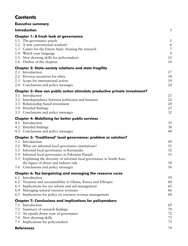# **Contents**

|     | <b>Executive summary</b>                                                                                       |                |
|-----|----------------------------------------------------------------------------------------------------------------|----------------|
|     | <b>Introduction</b>                                                                                            | 1              |
|     | <b>Chapter 1: A fresh look at governance</b><br>1.1 The governance puzzle<br>1.2 A new conventional wisdom?    | 5<br>6         |
|     | 1.3 Centre for the Future State: framing the research                                                          | $\overline{7}$ |
|     | 1.4 Watch your language                                                                                        | 9<br>12        |
|     | 1.5 New drawing skills for policymakers<br>1.6 Outline of the chapters                                         | 14             |
|     | <b>Chapter 2: State-society relations and state fragility</b>                                                  |                |
|     | 2.1 Introduction                                                                                               | 17             |
|     | 2.2 Perverse incentives for elites                                                                             | 18             |
|     | 2.3 Scope for international action<br>2.4 Conclusions and policy messages                                      | 19<br>20       |
|     |                                                                                                                |                |
|     | Chapter 3: How can public action stimulate productive private investment?<br>3.1 Introduction                  | 21             |
|     | 3.2 Interdependence between politicians and business                                                           | 22             |
|     | 3.3 Relationship-based investment                                                                              | 24             |
|     | 3.4 Detailed findings                                                                                          | 25             |
|     | 3.5 Conclusions and policy messages                                                                            | 32             |
|     | <b>Chapter 4: Mobilising for better public services</b>                                                        |                |
|     | 4.1 Introduction                                                                                               | 35<br>38       |
|     | 4.2 Detailed findings<br>4.3 Conclusions and policy messages                                                   | 44             |
|     | <b>Chapter 5: 'Traditional' local governance: problem or solution?</b>                                         |                |
|     | 5.1 Introduction                                                                                               | 49             |
|     | 5.2 What are informal local governance institutions?                                                           | 51             |
| 5.3 | Informal local governance in Karnataka                                                                         | 52             |
| 5.4 | Informal local governance in Pakistani Punjab                                                                  | 53             |
| 5.5 | Explaining the diversity of informal local governance in South Asia:<br>the legacy of direct and indirect rule | 54             |
|     | 5.6 Conclusions and policy messages                                                                            | 56             |
|     | Chapter 6: Tax bargaining and managing the resource curse                                                      |                |
|     | 6.1 Introduction                                                                                               | 59             |
|     | 6.2 Taxation and accountability in Ghana, Kenya and Ethiopia                                                   | 60             |
|     | 6.3 Implications for tax reform and aid management                                                             | 65             |
|     | 6.4 Managing natural resource revenues<br>6.5 Implications for policy on resource revenue management           | 66<br>68       |
|     |                                                                                                                |                |
|     | <b>Chapter 7: Conclusions and implications for policymakers</b><br>7.1 Introduction                            | 69             |
| 7.2 | Summary of research findings                                                                                   | 70             |
| 7.3 | An upside-down view of governance                                                                              | 72             |
|     | 7.4 New drawing skills                                                                                         | 73             |
|     | 7.5 Implications for policymakers                                                                              | 75             |
|     | <b>References</b>                                                                                              | 79             |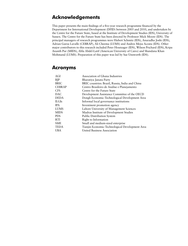# **Acknowledgements**

This paper presents the main findings of a five-year research programme financed by the Department for International Development (DFID) between 2005 and 2010, and undertaken by the Centre for the Future State, based at the Institute of Development Studies (IDS), University of Sussex. The Centre for the Future State has been directed by Professor Mick Moore (IDS). The principal managers of research programmes were Hubert Schmitz (IDS), Anuradha Joshi (IDS), Adrian Gurza Lavalle (CEBRAP), Ali Cheema (LUMS) and Andres Mejia Acosta (IDS). Other major contributors to this research included Peter Houtzager (IDS), Wilson Prichard (IDS), Kripa Ananth Pur (MIDS), Abla Abdel-Latif (American University of Cairo) and Shandana Khan Mohmand (LUMS). Preparation of this paper was led by Sue Unsworth (IDS).

# **Acronyms**

| AGI           | Association of Ghana Industries                 |
|---------------|-------------------------------------------------|
| BJP           | Bharatiya Janata Party                          |
| <b>BRIC</b>   | BRIC countries: Brazil, Russia, India and China |
| <b>CEBRAP</b> | Centro Brasileiro de Análise e Planejamento     |
| <b>CFS</b>    | Centre for the Future State                     |
| <b>DAC</b>    | Development Assistance Committee of the OECD    |
| <b>DEDA</b>   | Dongli Economic-Technological Development Area  |
| <b>ILGIs</b>  | Informal local governance institutions          |
| IPA.          | Investment promotion agency                     |
| <b>LUMS</b>   | Lahore University of Management Sciences        |
| <b>MIDS</b>   | Madras Institute of Development Studies         |
| <b>PDS</b>    | <b>Public Distribution System</b>               |
| <b>RTI</b>    | Right to Information                            |
| <b>SME</b>    | Small and medium-sized enterprise               |
| <b>TEDA</b>   | Tianjin Economic-Technological Development Area |
| <b>UBA</b>    | United Business Association                     |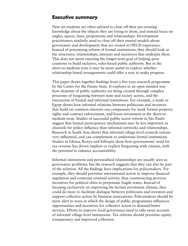# **Executive summary**

New art students are often advised to close off their pre-existing knowledge about the objects they are trying to draw, and instead focus on angles, spaces, lines, proportions and relationships. Development practitioners similarly need to close off their mental models about governance and development that are rooted in OECD experience. Instead of prioritising reform of formal institutions, they should look at the structures, relationships, interests and incentives that underpin them. This does not mean rejecting the longer-term goal of helping poor countries to build inclusive, rules-based public authority. But in the short-to-medium term it may be more useful to explore whether relationship-based arrangements could offer a way to make progress.

This paper draws together findings from a five-year research programme by the Centre for the Future State. It explores in an open-minded way how elements of public authority are being created through complex processes of bargaining between state and society actors, and the interaction of formal and informal institutions. For example, a study in Egypt shows how informal relations between politicians and investors that build on common interests can compensate for weak formal property rights and contract enforcement, and boost investment in the short-tomedium term. Studies of successful public sector reform in São Paulo suggest that formal participatory mechanisms may be less important as channels for policy influence than informal networks and relationships. Research in South Asia shows that informal village-level councils remain very influential, and can complement or undermine formal institutions. Studies in Ghana, Kenya and Ethiopia show how governments' need for tax revenue has driven implicit or explicit bargaining with citizens, with the potential to enhance accountability.

Informal institutions and personalised relationships are usually seen as governance problems, but the research suggests that they can also be part of the solution. All the findings have implications for policymakers. For example, they should prioritise international action to improve financial regulation and constrain criminal activity, thus counteracting perverse incentives for political elites to perpetuate fragile states. Instead of focusing exclusively on improving the formal investment climate, they could do more to facilitate dialogue between politicians and investors and support collective action by business associations. Policymakers should be more alert to ways in which the design of public programmes influences opportunities and incentives for collective action to demand better services. Efforts to improve local governance need to take more account of informal village-level institutions. Tax reforms should prioritise equity, transparency and improved collection.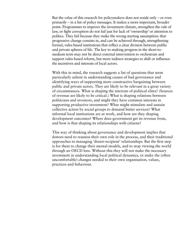But the value of this research for policymakers does not reside only – or even primarily – in a list of policy messages. It makes a more important, broader point. Programmes to improve the investment climate, strengthen the rule of law, or fight corruption do not fail just for lack of 'ownership' or attention to politics. They fail because they make the wrong starting assumption: that progressive change consists in, and can be achieved through, strengthening formal, rules-based institutions that reflect a clear division between public and private spheres of life. The key to making progress in the short-tomedium term may not be direct external intervention to orchestrate and support rules-based reform, but more indirect strategies to shift or influence the incentives and interests of local actors.

With this in mind, the research suggests a list of questions that seem particularly salient in understanding causes of bad governance and identifying ways of supporting more constructive bargaining between public and private actors. They are likely to be relevant in a great variety of circumstances. What is shaping the interests of political elites? (Sources of revenue are likely to be critical.) What is shaping relations between politicians and investors, and might they have common interests in supporting productive investment? What might stimulate and sustain collective action by social groups to demand better services? What informal local institutions are at work, and how are they shaping development outcomes? Where does government get its revenue from, and how is that shaping its relationships with citizens?

This way of thinking about governance and development implies that donors need to reassess their own role in the process, and their traditional approaches to managing 'donor-recipient' relationships. But the first step is for them to change their mental models, and to stop viewing the world through an OECD lens. Without this they will not make the necessary investment in understanding local political dynamics, or make the (often uncomfortable) changes needed to their own organisation, values, practices and behaviour.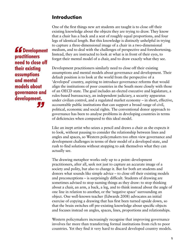# **Introduction**

One of the first things new art students are taught is to close off their existing knowledge about the objects they are trying to draw. They know that a chair has a back and a seat of roughly equal proportions, and four legs of identical length. But this knowledge is distinctly unhelpful in trying to capture a three-dimensional image of a chair in a two-dimensional medium, and to deal with the challenges of perspective and foreshortening. Instead, they are instructed to look at what is in front of their eyes, to forget their mental model of a chair, and to draw exactly what they see.

Development practitioners similarly need to close off their existing assumptions and mental models about governance and development. Their default position is to look at the world from the perspective of a 'developed' country, aspiring to introduce governance reforms that would align the institutions of poor countries in the South more closely with those of an OECD state. The goal includes an elected executive and legislature, a rules-based bureaucracy, an independent judiciary, a security apparatus under civilian control, and a regulated market economy – in short, effective, accountable public institutions that can support a broad range of civil, political, economic and social rights. The conventional donor approach to governance has been to analyse problems in developing countries in terms of deficiencies when compared to this ideal model.

Like an inept artist who seizes a pencil and draws a chair as she expects it to look, without pausing to consider the relationship between lines and angles and spaces, so Western policymakers too often view governance and development challenges in terms of their model of a developed state, and rush to find solutions without stopping to ask themselves what they can actually see.

The drawing metaphor works only up to a point: development practitioners, after all, seek not just to capture an accurate image of a society and polity, but also to change it. But for both art students and donors what sounds like simple advice – to close off their existing models and preconceptions – is surprisingly difficult. Students of drawing are sometimes advised to stop naming things as they draw: to stop thinking about a chair, an arm, a back, a leg, and to think instead about the angle of one line in relation to another, or the 'negative space' surrounding an object. One well-known teacher (Edwards 2008) advocates an initial exercise of copying a drawing that has first been turned upside down, so that the brain switches off pre-existing knowledge about specific objects and focuses instead on angles, spaces, lines, proportions and relationships.

Western policymakers increasingly recognise that improving governance involves far more than transferring formal institutions from rich to poor countries. Yet they find it very hard to discard developed country models.

*LE* Development **practitioners need to close off their existing assumptions and mental models about governance and development.**99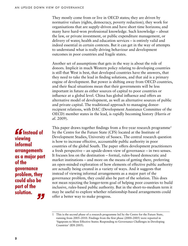They mostly come from or live in OECD states; they are driven by normative values (rights, democracy, poverty reduction); they work for organisations that are supply-driven and have short time horizons; and many have hard-won professional knowledge. Such knowledge – about the law, or private investment, or public expenditure management, or delivery of water, health and education services – is entirely valid and indeed essential in certain contexts. But it can get in the way of attempts to understand what is really driving behaviour and development outcomes in poor countries and fragile states.

Another set of assumptions that gets in the way is about the role of donors. Implicit in much Western policy relating to developing countries is still that West is best, that developed countries have the answers, that they need to take the lead in finding solutions, and that aid is a primary engine of development. But power is shifting away from OECD countries, and their fiscal situations mean that their governments will be less important in future as either sources of capital to poor countries or influence at a global level. China has global influence and offers an alternative model of development, as well as alternative sources of public and private capital. The traditional approach to managing donorrecipient relations, with DAC (Development Assistance Committee of the OECD) member states in the lead, is rapidly becoming history (Harris *et al*. 2009).

This paper draws together findings from a five-year research programme<sup>1</sup> by the Centre for the Future State (CFS) located at the Institute of Development Studies, University of Sussex. The central research question is how to increase effective, accountable public authority in poor countries of the global South. The paper offers development practitioners a fresh perspective – an upside-down view of governance – in two senses. It focuses less on the destination – formal, rules-based democratic and market institutions – and more on the means of getting there, preferring an open-minded exploration of how elements of effective public authority are actually being created in a variety of ways. And it suggests that instead of viewing informal arrangements as a major part of the governance problem, they could also be part of the solution. This does not mean rejecting the longer-term goal of helping poor countries to build inclusive, rules-based public authority. But in the short-to-medium term it may be useful to explore whether relationship-based arrangements could offer a better way to make progress.

*<u>If Instead</u>* of **viewing informal arrangements as a major part of the governance problem, they could also be part of the solution.**77

<sup>1</sup> This is the second phase of a research programme led by the Centre for the Future State, running from 2005–2010. Findings from the first phase (2000–2005) were reported in 'Signposts to More Effective States: Responding to Governance Challenges in Developing Countries' (IDS 2005).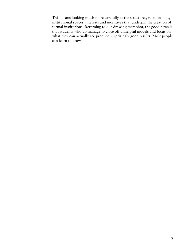This means looking much more carefully at the structures, relationships, institutional spaces, interests and incentives that underpin the creation of formal institutions. Returning to our drawing metaphor, the good news is that students who do manage to close off unhelpful models and focus on what they can actually see produce surprisingly good results. Most people can learn to draw.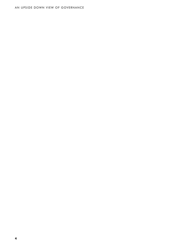#### AN UPSIDE DOWN VIEW OF GOVERNANCE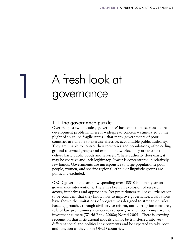# A fresh look at<br>governance

### 1.1 The governance puzzle

Over the past two decades, 'governance' has come to be seen as a core development problem. There is widespread concern – stimulated by the plight of so-called fragile states – that many governments of poor countries are unable to exercise effective, accountable public authority. They are unable to control their territories and populations, often ceding ground to armed groups and criminal networks. They are unable to deliver basic public goods and services. Where authority does exist, it may be coercive and lack legitimacy. Power is concentrated in relatively few hands. Governments are unresponsive to large populations: poor people, women, and specific regional, ethnic or linguistic groups are politically excluded.

OECD governments are now spending over US\$10 billion a year on governance interventions. There has been an explosion of research, actors, initiatives and approaches. Yet practitioners still have little reason to be confident that they know how to improve governance. Evaluations have shown the limitations of programmes designed to strengthen rulesbased approaches through civil service reform, anti-corruption measures, rule of law programmes, democracy support, or attempts to improve the investment climate (World Bank 2008a; Norad 2009). There is growing recognition that institutional models cannot be transferred into very different social and political environments and be expected to take root and function as they do in OECD countries.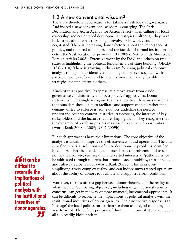# 1.2 A new conventional wisdom?

There are therefore good reasons for taking a fresh look at governance. And indeed a new conventional wisdom is emerging. The Paris Declaration and Accra Agenda for Action reflect this in calling for local ownership and country-led development strategies – although they have little to say about what these might involve or how they could be negotiated. There is increasing donor rhetoric about the importance of politics, and the need to 'look behind the facade' of formal institutions to detect the 'real' location of power (DFID 2009a; Netherlands Ministry of Foreign Affairs 2008). Extensive work by the DAC and others on fragile states is highlighting the political fundamentals of state building (OECD/ DAC 2010). There is growing enthusiasm for using political economy analysis to help better identify and manage the risks associated with particular policy reforms and to identify more politically feasible strategies for implementing them.

Much of this is positive. It represents a move away from crude governance conditionality and 'best practice' approaches. Donor statements increasingly recognise that local political dynamics matter, and that outsiders should aim to facilitate and support change, rather than demand or try to enforce it. Some donors underline the need to understand country context, historical trajectories, the interests of key stakeholders and the factors that are shaping them. They recognise that the dynamics of a reform process may itself create new opportunities (World Bank 2008b, 2009; DFID 2009b).

But such approaches have their limitations. The core objective of the analysis is usually to improve the effectiveness of aid operations. The aim is to find practical solutions – often to development problems identified by donors. There is a tendency to attach labels to problems, and to see political patronage, rent seeking, and vested interests as 'pathologies' to be addressed through reforms that promote accountability, transparency and rules-based behaviour (World Bank 2008c). This risks oversimplifying a very complex reality, and can induce unwarranted optimism about the ability of donors to facilitate and support reform coalitions.

*<u>Eft* It can be</u> **difficult to reconcile the implications of political analysis with the institutional incentives of donor agencies.**

Moreover, there is often a gap between donor rhetoric and the reality of what they do. Competing objectives, including urgent national security concerns, can get in the way of more nuanced, incremental approaches. It can be difficult to reconcile the implications of political analysis with the institutional incentives of donor agencies. Their instinctive response is to 'manage' the local politics rather than see them as integral to finding a way forward. The default position of thinking in terms of Western models all too readily kicks back in.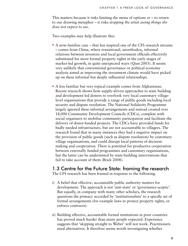This matters because it risks limiting the menu of options or – to return to our drawing metaphor – it risks *stopping the artist seeing things she does not expect to see*.

Two examples may help illustrate this:

- · A now-familiar case that has inspired one of the CFS research streams – comes from China, where transitional, unorthodox, informal relations between investors and local government officials effectively substituted for more formal property rights in the early stages of market-led growth, in quite unexpected ways (Qian 2003). It seems very unlikely that conventional governance or political economy analysis aimed at improving the investment climate would have picked up on these informal but deeply influential relationships.
- · A less familiar but very topical example comes from Afghanistan. Recent research shows how supply-driven approaches to state building and development led donors to overlook very local customary villagelevel organisations that provide a range of public goods including local security and dispute resolution. The National Solidarity Programme largely ignored these informal arrangements and instead created over 18,000 Community Development Councils (CDCs), complete with social organisers to mobilise community participation and facilitate the delivery of donor-funded projects. The CDCs have provided funds for badly needed infrastructure, but are not accountable to villagers. The research found that in many instances they had a negative impact on the provision of public goods (such as dispute resolution) by customary village organisations, and could disrupt local patterns of decisionmaking and cooperation. There is potential for productive cooperation between externally funded programmes and customary organisations, but the latter can be undermined by state-building interventions that fail to take account of them (Brick 2008).

# 1.3 Centre for the Future State: framing the research

The CFS research has been framed in response to the following.

- i) A belief that effective, accountable public authority matters for development. The approach is not 'anti-state' or 'governance-sceptic'. But equally, in company with many other scholars, the research questions the primacy accorded by 'institutionalists' to a specific set of formal arrangements (for example laws to protect property rights, or enforce contracts).
- ii) Building effective, accountable formal institutions in poor countries has proved much harder than many people expected. Experience suggests that 'skipping straight to Weber' will not work. Practitioners need alternatives. It therefore seems worth investigating whether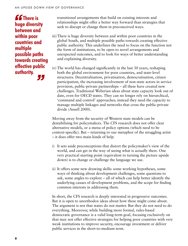#### AN UPSIDE DOWN VIEW OF GOVERNANCE

*<u>f</u>* There is **huge diversity between and within poor countries and multiple possible paths towards creating effective public authority.**"

transitional arrangements that build on existing interests and relationships might offer a better way forward than strategies that seek to disrupt or change them in preconceived ways.

- iii)There is huge diversity between and within poor countries in the global South, and multiple possible paths towards creating effective public authority. This underlines the need to focus on the function not the form of institutions, to be open to novel arrangements and unexpected outcomes, and to look for ways of better understanding and explaining diversity.
- iv) The world has changed significantly in the last 30 years, reshaping both the global environment for poor countries, and state-level structures. Decentralisation, privatisation, democratisation, citizen participation, the increasing involvement of non-state actors in service provision, public-private partnerships – all these have created new challenges. Traditional Weberian ideas about state capacity look out of date, even for OECD states. They can no longer rely on hierarchical, 'command and control' approaches; instead they need the capacity to manage multiple linkages and networks that cross the public-private divide (Ansell 2000).

Moving away from the security of Western state models can be destabilising for policymakers. The CFS research does not offer clear alternative models, or a menu of policy options (which need to be context-specific). But – returning to our metaphor of the struggling artist – it does offer two main kinds of help.

- i) It sets aside preconceptions that distort the policymaker's view of the world, and can get in the way of seeing what is actually there. One very practical starting point (equivalent to turning the picture upside down) is to change or challenge the language we use.
- ii) It offers some new drawing skills: some working hypotheses, some ways of thinking about development challenges, some questions to ask, some angles to explore – all of which can help better identify the underlying causes of development problems, and the scope for finding common interests in addressing them.

In short, the CFS research is deeply interested in progressive outcomes. But it is open to unorthodox ideas about how these might come about. The argument is not that states do not matter. But they do not need to do everything. Moreover, while building more formal, rules-based democratic governance is a valid long-term goal, focusing exclusively on that may not offer effective strategies for helping poor countries with very weak institutions to improve security, encourage investment or deliver public services in the short-to-medium term.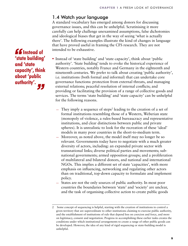# 1.4 Watch your language

A standard vocabulary has emerged among donors for discussing governance issues, and this can be unhelpful. Scrutinising it more carefully can help challenge unexamined assumptions, false dichotomies and ideological biases that get in the way of seeing 'what is actually there'. The following examples illustrate the kind of changes in language that have proved useful in framing the CFS research. They are not intended to be exhaustive.

· Instead of 'state building' and 'state capacity', think about 'public authority'. 'State building**'** tends to evoke the historical experience of Western countries, notably France and Germany in the eighteenth and nineteenth centuries. We prefer to talk about creating 'public authority', i.e. institutions (both formal and informal) that can undertake core governance functions: protection from external threats, and managing external relations; peaceful resolution of internal conflicts; and providing or facilitating the provision of a range of collective goods and services. The terms 'state building' and 'state capacity' can be unhelpful for the following reasons.

- They imply a sequence of steps<sup>2</sup> leading to the creation of a set of formal institutions resembling those of a Western, Weberian state (monopoly of violence, a rules-based bureaucracy and representative institutions, and clear distinctions between public and private spheres). It is unrealistic to look for the recreation of these 'ideal' models in many poor countries in the short-to-medium term.
- Moreover, as noted above, the model itself may no longer be so relevant. Governments today have to negotiate with a much greater diversity of actors, including: an expanded private sector with transnational links; diverse political parties and movements; subnational governments; armed opposition groups; and a proliferation of multilateral and bilateral donors, and national and international NGOs. This implies a different set of state 'capacities', with more emphasis on influencing, networking and regulating other actors than on traditional, top-down capacity to formulate and implement policy.
- States are not the only sources of public authority. In most poor countries the boundaries between 'state' and 'society' are unclear, and the task of organising collective action to create public goods

*<u>If Instead</u>* of **'state building' and 'state capacity', think about 'public authority'.**

<sup>2</sup> Some concept of sequencing is helpful, starting with the creation of institutions to control a given territory that are superordinate to other institutions claiming to exercise public authority, and the establishment of institutions of rule that depend less on coercion and force, and more on legitimacy, consent and negotiation. Progress in accomplishing these earlier tasks creates the conditions under which institutional arrangements to create a range of other public goods can be developed. However, the idea of any kind of rigid sequencing or state-building model is unhelpful.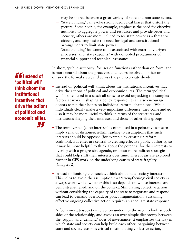may be shared between a great variety of state and non-state actors.

- 'State building' can evoke strong ideological biases that distort the picture. Some people, for example, emphasise the need for effective authority to aggregate power and resources and provide order and security; others are more inclined to see state power as a threat to citizens, and emphasise the need for legal and constitutional arrangements to limit state power.
- 'State building' has come to be associated with externally driven processes, and 'state capacity' with donor-led programmes of financial support and technical assistance.

In short, 'public authority' focuses on functions rather than on form, and is more neutral about the processes and actors involved – inside or outside the formal state, and across the public-private divide.

- · Instead of 'political will' think about the institutional incentives that drive the actions of political and economic elites. The term 'political will' is often used in a catch-all sense to avoid unpacking the complex factors at work in shaping a policy response. It can also encourage donors to pin their hopes on individual reform 'champions'. While individuals clearly make a very important difference, they come and go – so it may be more useful to think in terms of the structures and institutions shaping their interests, and those of other elite groups.
- · The term 'vested (elite) interests' is often used in a pejorative sense to imply venal or dishonest/selfish, leading to assumptions that such interests should be opposed (for example by creating a reform coalition). But elites are central to creating effective public authority, so it may be more helpful to think about the potential for their interests to overlap with a progressive agenda, or about more indirect strategies that could help shift their interests over time. These ideas are explored further in CFS work on the underlying causes of state fragility (Chapter 2).
- · Instead of lionising civil society**,** think about state-society interaction. This helps to avoid the assumption that 'strengthening' civil society is always worthwhile: whether this is so depends on whose interests are being strengthened, and on the context. Stimulating collective action without considering the capacity of the state to negotiate and respond can lead to demand overload, or policy fragmentation. Sustaining effective ongoing collective action requires an adequate state response.

A focus on state-society interaction underlines the need to look at both sides of the relationship, and avoids an over-simple dichotomy between the 'supply' and 'demand' sides of governance. It emphasises the way in which state and society can help build each other: bargaining between state and society actors is critical to stimulating collective action,

**Instead of 'political will' think about the institutional incentives that drive the actions of political and economic elites.**"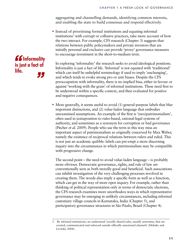aggregating and channelling demands, identifying common interests, and enabling the state to build consensus and respond effectively.

· Instead of prioritising formal institutions and equating informal institutions<sup>3</sup> with corrupt or collusive practices, take more account of how the two interact. For example, CFS research (Chapter 3) suggests that relations between public policymakers and private investors that are initially personal and exclusive can provide 'proxy' governance measures to encourage investment in the short-to-medium term.

In exploring 'informality' the research seeks to avoid ideological positions. Informality is just a fact of life. 'Informal' is not equated with 'traditional' which can itself be unhelpful terminology if used to imply 'unchanging', and which tends to evoke strong pro or anti biases. Despite the CFS preoccupation with informality, there is no implied bias, either in favour or against 'working with the grain' of informal institutions. These need first to be understood within a specific context, and then evaluated for positive and negative consequences.

· More generally, it seems useful to avoid (1) general-purpose labels that blur important distinctions, and (2) value-laden language that embodies unexamined assumptions. An example of the first is '(neo)patrimonialism', often used in juxtaposition to rules-based, rational-legal systems of authority, and sometimes as a synonym for corruption or bad governance (Pitcher *et al.* 2009). People who use the term in this way miss an important aspect of patrimonialism as originally conceived by Max Weber, namely the existence of reciprocal relations between rulers and ruled. This is not just an academic quibble: labels can pre-empt a more discerning inquiry into the circumstances in which patrimonialism may be compatible with progressive change.

The second point – the need to avoid value-laden language – is probably more obvious. Democratic governance, rights, and rule of law are conventionally seen as both morally good and beneficial. Such associations can inhibit investigation of the very challenging processes involved in creating them. The words also imply a specific form as well as a function, which can get in the way of more open inquiry. For example, rather than thinking of political representation only in terms of democratic elections, the CFS research examines more unorthodox ways in which representative governance may be emerging in unlikely circumstances, including informal customary village councils in Karnataka, India (Chapter 5), and participatory governance structures in São Paulo, Brazil (Chapter 4).

# *<u>If Informality</u>* **is just a fact of life.**77

<sup>3</sup> By informal institutions, we understand 'socially shared rules, usually unwritten, that are created, communicated and enforced outside officially sanctioned channels' (Helmke and Levitsky 2004).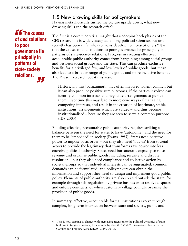# 1.5 New drawing skills for policymakers

Having metaphorically turned the picture upside down, what new drawing skills can the research offer?

The first is a core theoretical insight that underpins both phases of the CFS research. It is widely accepted among political scientists but until recently has been unfamiliar to many development practitioners.<sup>4</sup> It is that the causes of and solutions to poor governance lie principally in patterns of state-society relations. Progress in creating effective, accountable public authority comes from bargaining among social groups and between social groups and the state. This can produce exclusive benefits for a privileged few, and low levels of public goods. But it can also lead to a broader range of public goods and more inclusive benefits. The Phase 1 research put it this way:

Historically this [bargaining]... has often involved violent conflict, but it can also produce positive sum outcomes, if the parties involved can identify common interests and negotiate arrangements to pursue them. Over time this may lead to more civic ways of managing competing interests, and result in the creation of legitimate, stable institutions: arrangements which are valued – and thus become institutionalised – because they are seen to serve a common purpose. (IDS 2005)

Building effective, accountable public authority requires striking a balance between the need for states to have 'autonomy', and the need for them to be 'embedded' in society (Evans 1995). States need coercive power to impose basic order – but they also need 'buy-in' from societal actors to provide the legitimacy that transforms raw power into less coercive political authority. States need bureaucratic capacity to raise revenue and organise public goods, including security and dispute resolution – but they also need compliance and collective action by societal groups so that individual interests can be aggregated, common demands can be formulated, and policymakers can obtain the information and support they need to design and implement good public policy. Elements of public authority are also created outside the state, for example through self-regulation by private businesses to resolve disputes and enforce contracts, or when customary village councils organise the provision of public goods.

In summary, effective, accountable formal institutions evolve through complex, long-term interaction between state and society, public and

*<u>Eff</u> The causes</u>* **of and solutions to poor governance lie principally in patterns of state-society relations.**

This is now starting to change with increasing attention to the political dynamics of state building in fragile situations, for example by the OECD/DAC International Network on Conflict and Fragility (OECD/DAC 2008, 2010).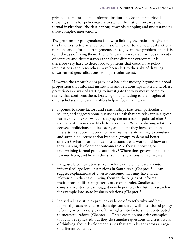private actors, formal and informal institutions. So the first critical drawing skill is for policymakers to switch their attention away from formal institutions (the destination), towards mapping and understanding those complex interactions.

The problem for policymakers is how to link big theoretical insights of this kind to short-term practice. It is often easier to see how dysfunctional relations and informal arrangements cause governance problems than it is to find ways of fixing them. The CFS research reveals enormous diversity of contexts and circumstances that shape different outcomes: it is therefore very hard to detect broad patterns that could have policy implications (and researchers have been alert to the risks of drawing unwarranted generalisations from particular cases).

However, the research does provide a basis for moving beyond the broad proposition that informal institutions and relationships matter, and offers practitioners a way of starting to investigate the very messy, complex reality that confronts them. Drawing on and adding to the insights of other scholars, the research offers help in four main ways.

- i) It points to some factors and relationships that seem particularly salient, and suggests some questions to ask that are relevant in a great variety of contexts. What is shaping the interests of political elites? (Sources of revenue are likely to be critical.) What is shaping relations between politicians and investors, and might they have common interests in supporting productive investment? What might stimulate and sustain collective action by social groups to demand better services? What informal local institutions are at work, and how are they shaping development outcomes? Are they supporting or undermining formal public authority? Where does government get its revenue from, and how is this shaping its relations with citizens?
- ii) Large-scale comparative surveys for example the research into informal village-level institutions in South Asia (Chapter 5) – can suggest explanations of diverse outcomes that may have wider relevance (in this case, linking them to the origins of informal institutions in different patterns of colonial rule). Smaller-scale comparative studies can suggest new hypotheses for future research – for example into state-business relations (Chapter 3).
- iii) Individual case studies provide evidence of exactly why and how informal processes and relationships can derail well-intentioned policy reforms, or conversely can offer insights into factors that contributed to successful reform (Chapter 4). These cases do not offer examples that can be replicated, but they do stimulate questions and fresh ways of thinking about development issues that are relevant across a range of different contexts.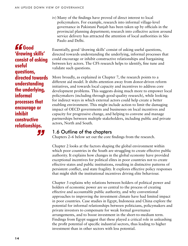iv) Many of the findings have proved of direct interest to local policymakers. For example, research into informal village-level governance in Pakistani Punjab has been taken up by officials in the provincial planning department; research into collective action around service delivery has attracted the attention of local authorities in São Paulo and Delhi.

Essentially, good 'drawing skills' consist of asking useful questions, directed towards understanding the underlying, informal processes that could encourage or inhibit constructive relationships and bargaining between key actors. The CFS research helps to identify, fine tune and validate such questions.

More broadly, as explained in Chapter 7, the research points to a different aid model. It shifts attention away from donor-driven reform initiatives, and towards local capacity and incentives to address core development problems. This suggests doing much more to empower local policymakers (including through good-quality research), while looking for indirect ways in which external actors could help create a better enabling environment. This might include action to limit the damaging impact of OECD governments and businesses on local incentives and capacity for progressive change, and helping to convene and manage partnerships between multiple stakeholders, including public and private actors, North and South.

# 1.6 Outline of the chapters

Chapters 2–6 below set out the core findings from the research.

Chapter 2 looks at the factors shaping the global environment within which poor countries in the South are struggling to create effective public authority. It explains how changes in the global economy have provided exceptional incentives for political elites in poor countries not to create effective states and public institutions, resulting in distinctive patterns of persistent conflict, and state fragility. It explores effective policy responses that might shift the institutional incentives driving elite behaviour.

Chapter 3 explains why relations between holders of political power and holders of economic power are so central to the process of creating effective and accountable public authority, and why conventional approaches to improving the investment climate have had limited impact in poor countries. Case studies in Egypt, Indonesia and China explore the potential for informal relationships between politicians, policymakers and private investors to compensate for weak formal governance arrangements, and to boost investment in the short-to-medium term. Findings from Egypt suggest that these played a critical role in unleashing the profit potential of specific industrial sectors, thus leading to higher investment than in other sectors with less potential.

**Good 'drawing skills' consist of asking useful questions, directed towards understanding the underlying, informal processes that encourage or inhibit constructive relationships.**"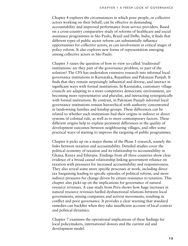Chapter 4 explores the circumstances in which poor people, or collective actors working on their behalf, can be effective in demanding accountability and improved performance from service providers. Based on a cross-country comparative study of reforms of healthcare and social assistance programmes in São Paulo, Brazil and Delhi, India, it finds that different types of public sector reform can substantially influence opportunities for collective actors, as can involvement at critical stages of policy reform. It also explores new forms of representation emerging among collective actors in São Paulo.

Chapter 5 raises the question of how to view so-called 'traditional' institutions: are they part of the governance problem, or part of the solution? The CFS has undertaken extensive research into informal local governance institutions in Karnataka, Rajasthan and Pakistani Punjab. It finds that they remain surprisingly influential and diverse, and interact in significant ways with formal institutions. In Karnataka, customary village councils are adapting to a more competitive democratic environment, are becoming more representative and pluralist, and interacting synergistically with formal institutions. By contrast, in Pakistani Punjab informal local governance institutions remain hierarchical with authority concentrated in landowning families and kinship groups. These differences can be related to whether such institutions had their origins in indirect or direct systems of colonial rule, as well as to more contemporary factors. These different origins help to explain persistent differences in the quality of development outcomes between neighbouring villages, and offer some practical ways of starting to improve the targeting of public programmes.

Chapter 6 picks up on a major theme of the Phase 1 research, namely the links between taxation and accountability. Detailed studies cover the political economy of taxation and its relationship to accountability in Ghana, Kenya and Ethiopia. Findings from all three countries show clear evidence of a broad causal relationship linking government reliance on taxation with pressures for increased accountability and responsiveness. They also reveal some more specific processes at work, including direct tax bargaining leading to specific episodes of political reform, and more indirect pressures for change driven by citizen resistance to taxation. This chapter also picks up on the implications for governance of natural resource revenues. A case study from Peru shows how huge increases in natural resource revenues fuelled dysfunctional relations between local governments, mining companies and activist movements, resulting in conflict and poor governance. It provides a clear warning that standard remedies can backfire when they take insufficient account of local context and political dynamics.

Chapter 7 examines the operational implications of these findings for local policymakers, international donors and the current aid and development model.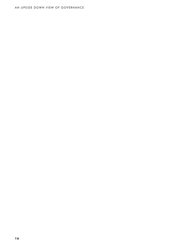#### AN UPSIDE DOWN VIEW OF GOVERNANCE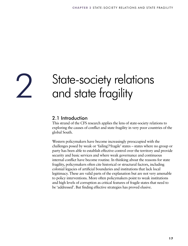# 2 State-society relations<br>2 and state fragility

# 2.1 Introduction

This strand of the CFS research applies the lens of state-society relations to exploring the causes of conflict and state fragility in very poor countries of the global South.

Western policymakers have become increasingly preoccupied with the challenges posed by weak or 'failing'/'fragile' states – states where no group or party has been able to establish effective control over the territory and provide security and basic services and where weak governance and continuous internal conflict have become routine. In thinking about the reasons for state fragility, policymakers often cite historical or structural factors, including colonial legacies of artificial boundaries and institutions that lack local legitimacy. These are valid parts of the explanation but are not very amenable to policy interventions. More often policymakers point to weak institutions and high levels of corruption as critical features of fragile states that need to be 'addressed'. But finding effective strategies has proved elusive.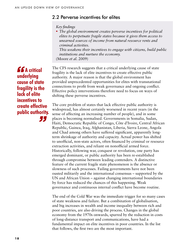# 2.2 Perverse incentives for elites

*Key findings*

· *The global environment creates perverse incentives for political elites to perpetuate fragile states because it gives them access to unearned sources of income from natural resource rents and criminal activities. This weakens their incentives to engage with citizens, build public institutions and nurture the economy.*  (Moore *et al*. 2009)

**A critical underlying cause of state fragility is the lack of elite incentives to create effective public authority.** 95

The CFS research suggests that a critical underlying cause of state fragility is the lack of elite incentives to create effective public authority. A major reason is that the global environment has provided unprecedented opportunities for elites with transnational connections to profit from weak governance and ongoing conflict. Effective policy interventions therefore need to focus on ways of shifting these perverse incentives.

The core problem of states that lack effective public authority is widespread, has almost certainly worsened in recent years (in the sense of affecting an increasing number of people), and in some places is becoming normalised. Governments in Somalia, Sudan, Haiti, Democratic Republic of Congo, Côte d'Ivoire, Central African Republic, Guinea, Iraq, Afghanistan, Liberia, Sierra Leone, Angola and Chad among others have suffered significant, apparently longterm shrinkage of authority and capacity. Actual power has shifted to unofficial, non-state actors, often financed by criminal or resource extraction activities, and reliant on nonofficial armed force. Historically, following war, conquest or revolution, one party has emerged dominant, or public authority has been re-established through compromise between leading contenders. A distinctive feature of the current fragile state phenomenon is the absence or slowness of such processes. Failing governments have not been ousted militarily and the international consensus – supported by the UN and African Union – against changing international boundaries by force has reduced the chances of this happening. Weak governance and continuous internal conflict have become routine.

The end of the Cold War was the immediate trigger for so many cases of state weakness and failure. But a combination of globalisation, and big increases in wealth and income inequality between rich and poor countries, are also driving the process. Changes in the global economy from the 1970s onwards, spurred by the reduction in costs of long-distance transport and communications, have had a fundamental impact on elite incentives in poor countries. In the list that follows, the first two are the most important.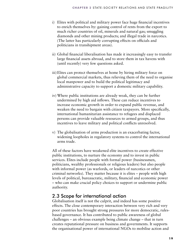- i) Elites with political and military power face huge financial incentives to enrich themselves by: gaining control of rents from the export to much richer countries of oil, minerals and natural gas; smuggling diamonds and other mining products; and illegal trade in narcotics. (The latter has particularly corrupting effects on officials and politicians in transhipment areas).
- ii) Global financial liberalisation has made it increasingly easy to transfer large financial assets abroad, and to store them in tax havens with (until recently) very few questions asked.
- iii)Elites can protect themselves at home by hiring military force on global commercial markets, thus relieving them of the need to organise local manpower and to build the political legitimacy and administrative capacity to support a domestic military capability.
- iv) Where public institutions are already weak, they can be further undermined by high aid inflows. These can reduce incentives to increase economic growth in order to expand public revenue, and weaken the need to bargain with citizen taxpayers. More specifically, international humanitarian assistance to refugees and displaced persons can provide valuable resources to armed groups, and thus incentives to leave military and political conflicts unresolved.
- v) The globalisation of arms production is an exacerbating factor, widening loopholes in regulatory systems to control the international arms trade.

All of these factors have weakened elite incentives to create effective public institutions, to nurture the economy and to invest in public services. Elites include people with formal power (businessmen, politicians, wealthy professionals or religious leaders) but also people with informal power (as warlords, or leaders of narcotics or other criminal networks). They matter because it is elites – people with high levels of political, bureaucratic, military, financial and economic power – who can make crucial policy choices to support or undermine public authority.

# 2.3 Scope for international action

Globalisation itself is not the culprit, and indeed has some positive effects. The close contemporary interaction between very rich and very poor countries has brought strong pressures for more democratic, rulesbased governance. It has contributed to public awareness of global challenges – an obvious example being climate change – that in turn creates reputational pressure on business and governments. It supports the organisational power of international NGOs to mobilise action and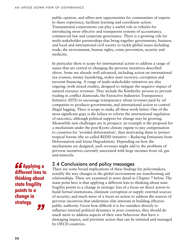public opinion, and offers new opportunities for communities of experts to share experience, facilitate learning and coordinate action. Transnational corporations can play a useful role as vehicles for introducing more effective and transparent systems of accountancy, commercial law and corporate governance. There is a growing role for multi-stakeholder partnerships that bring together governments, business and local and international civil society to tackle global issues including trade, the environment, human rights, crime prevention, security and medicine.

In particular there is scope for international action to address a range of issues that are central to changing the perverse incentives described above. Some are already well advanced, including action on international tax evasion, money laundering, stolen asset recovery, corruption and terrorist financing. A range of multi-stakeholder initiatives are also ongoing (with mixed results), designed to mitigate the negative impact of natural resource revenues. They include the Kimberley process to prevent trading in conflict diamonds; the Extractive Industries Transparency Initiative (EITI) to encourage transparency about revenues paid by oil companies to producer governments; and international action to control illegal logging. There is scope to make all these work better. One of the most significant gaps is the failure to reform the international regulation of narcotics, although political support for change may be growing. Meanwhile new challenges are in prospect: an example is the proposal for a mechanism under the post-Kyoto climate regime to pay compensation to countries for 'avoided deforestation', thus motivating them to protect tropical forests (the so-called REDD initiative – Reducing Emissions from Deforestation and forest Degradation). Depending on how the mechanisms are designed, such revenues might add to the problems of perverse incentives currently associated with large incomes from oil, gas and minerals.

# 2.4 Conclusions and policy messages

There are some broad implications of these findings for policymakers, notably the way changes in the global environment are transforming aid relationships. These are examined in more detail in Chapter 7 below. The main point here is that applying a different lens to thinking about state fragility points to a change in strategy: less of a focus on direct action to build formal institutions, eliminate corruption or supply external sources of security; and much more of a focus on action to address the sources of perverse incentives that undermine elite interests in building effective public authority. Given how difficult it is for outsiders directly to influence internal political dynamics in poor countries, they should do much more to address aspects of their own behaviour that have a damaging impact, and prioritise action that can be initiated and managed by OECD countries.

**Applying a different lens to thinking about state fragility points to a change in strategy.**"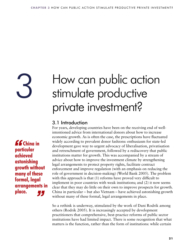3

# How can public action stimulate productive private investment?

# 3.1 Introduction

For years, developing countries have been on the receiving end of wellintentioned advice from international donors about how to increase economic growth. As is often the case, the prescriptions have fluctuated widely according to prevalent donor fashions: enthusiasm for state-led development gave way to urgent advocacy of liberalisation, privatisation and retrenchment of government, followed by a rediscovery that public institutions matter for growth. This was accompanied by a stream of advice about how to improve the investment climate by strengthening legal arrangements to protect property rights, facilitate contract enforcement and improve regulation (with an emphasis on reducing the role of government in decision-making) (World Bank 2005). The problem with this approach is that (1) reforms have proved very difficult to implement in poor countries with weak institutions; and (2) it now seems clear that they may do little on their own to improve prospects for growth. China in particular – but also Vietnam – have achieved astonishing growth without many of these formal, legal arrangements in place.

So a rethink is underway, stimulated by the work of Dani Rodrik among others (Rodrik 2005). It is increasingly accepted by development practitioners that comprehensive, best-practice reforms of public sector institutions have had limited impact. There is some recognition that what matters is the function, rather than the form of institutions: while certain

**Company** China in **particular achieved astonishing growth without many of these formal, legal arrangements in place.**55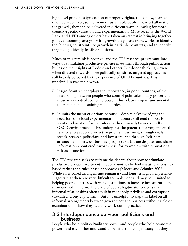high-level principles (protection of property rights, rule of law, marketoriented incentives, sound money, sustainable public finances) all matter for growth, they can be delivered in different ways, allowing for more country-specific variation and experimentation. More recently the World Bank and DFID among others have taken an interest in bringing together political economy analysis with growth diagnostic frameworks to identify the 'binding constraints' to growth in particular contexts, and to identify targeted, politically feasible solutions.

Much of this rethink is positive, and the CFS research programme into ways of stimulating productive private investment through public action builds on the insights of Rodrik and others. But donor thinking – even when directed towards more politically sensitive, targeted approaches – is still heavily coloured by the experience of OECD countries. This is unhelpful in two main ways.

- i) It significantly underplays the importance, in poor countries, of the relationship between people who control political/military power and those who control economic power. This relationship is fundamental to creating and sustaining public order.
- ii) It limits the menu of options because despite acknowledging the need for some local experimentation – donors still tend to look for solutions based on formal rules that have (mostly) worked well in OECD environments. This underplays the potential for very informal relations to support productive private investment, through deals struck between politicians and investors, and through 'self-help' arrangements between business people (to arbitrate disputes and share information about credit-worthiness, for example – with reputational risk as a sanction).

The CFS research seeks to reframe the debate about how to stimulate productive private investment in poor countries by looking at relationshipbased rather than rules-based approaches (Moore and Schmitz 2008). While rules-based arrangements remain a valid long-term goal, experience suggests that these are very difficult to implement and may be ill suited to helping poor countries with weak institutions to increase investment in the short-to-medium term. There are of course legitimate concerns that informal relationships often result in monopoly, privilege and corruption (so-called 'crony capitalism'). But it is unhelpful to slap this label on all informal arrangements between government and business without a closer examination of how they actually work out in practice.

### 3.2 Interdependence between politicians and business

People who hold political/military power and people who hold economic power need each other and stand to benefit from cooperation; but they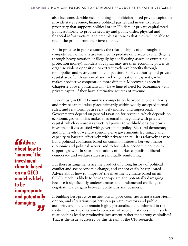also face considerable risks in doing so. Politicians need private capital to provide state revenue, finance political parties and invest to create prosperity that supports political order. Holders of private capital need public authority to provide security and public order, physical and financial infrastructure, and credible assurances that they will be able to retain the profits from their investments.

But in practice in poor countries the relationship is often fraught and competitive. Politicians are tempted to predate on private capital (legally through heavy taxation or illegally by confiscating assets or extracting protection money). Holders of capital may use their economic power to organise violent opposition or extract exclusive benefits through monopolies and restrictions on competition. Public authority and private capital are often fragmented and lack organisational capacity, which makes productive cooperation more difficult. Moreover, as seen in Chapter 2 above, politicians may have limited need for bargaining with private capital if they have alternative sources of revenue.

By contrast, in OECD countries, competition between public authority and private capital takes place primarily within widely accepted formal rules, and relationships are relatively indirect and impersonal. Governments depend on general taxation for revenue, which depends on economic growth. This makes it essential to negotiate with private capital, which can use its structural power to withhold or slow down investment if dissatisfied with government policy. Electoral democracy and high levels of welfare spending give governments legitimacy and capacity to bargain effectively with private capital. It is relatively easy to build political coalitions based on common interests between major economic and political actors, and to formulate economic policies to support growth. In short, institutions of market capitalism, liberal democracy and welfare states are mutually reinforcing.

**Advice about how to 'improve' the investment climate based on an OECD model is likely to be inappropriate and potentially damaging.**"

But these arrangements are the product of a long history of political conflict and socioeconomic change, and cannot easily be replicated. Advice about how to 'improve' the investment climate based on an OECD model is likely to be inappropriate and potentially damaging, because it significantly underestimates the fundamental challenge of negotiating a bargain between politicians and business.

If building best-practice institutions in poor countries is not a short-term option, and if relationships between private investors and public authority are likely to remain highly personalised and informal in the medium term, the question becomes in what circumstances might such relationships lead to productive investment rather than crony capitalism? That is the issue addressed by this stream of the CFS research.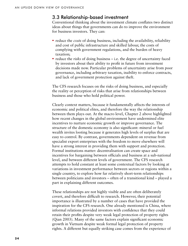# 3.3 Relationship-based investment

Conventional thinking about the investment climate conflates two distinct ideas about things that governments can do to improve the environment for business investors. They can:

- · reduce the *costs* of doing business, including the availability, reliability and cost of public infrastructure and skilled labour, the costs of complying with government regulations, and the burden of heavy taxation;
- reduce the *risks* of doing business i.e. the degree of uncertainty faced by investors about their ability to profit in future from investment decisions made now. Particular problems of uncertainty arise from poor governance, including arbitrary taxation, inability to enforce contracts, and lack of government protection against theft.

The CFS research focuses on the risks of doing business, and especially the reality or perception of risks that arise from relationships between business and those who hold political power.

Clearly context matters, because it fundamentally affects the interests of economic and political elites, and therefore the way the relationship between them plays out. At the macro level, Chapter 2 above highlighted how recent changes in the global environment have undermined elite incentives to nurture economic growth or improve governance. The structure of the domestic economy is also significant: mineral or fuel wealth invites looting because it generates high levels of surplus that are easy to control. By contrast, governments dependent on revenue from specialist export enterprises with the freedom to move elsewhere will have a strong interest in providing them with support and protection. Formal institutions matter: decentralisation can create space and incentives for bargaining between officials and business at a sub-national level, and between different levels of government. The CFS research attempts to hold constant at least some contextual factors by looking at variations in investment performance between sectors or regions within a single country, to explore how far relatively short-term relationships between politicians and investors – often of a transitional kind – played a part in explaining different outcomes.

These relationships are not highly visible and are often deliberately covert, and therefore difficult to research. However, their potential importance is illustrated by a number of cases that have provided the inspiration for the CFS research. One already mentioned is China, where informal relations provided investors with confidence that they could retain their profits despite very weak legal protection of property rights (Qian 2003). Many of the same factors explain significant economic growth in Vietnam despite weak formal legal protection of property rights. A different but equally striking case comes from the experience of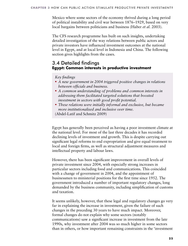Mexico where some sectors of the economy thrived during a long period of political instability and civil war between 1876–1929, based on very local bargains between politicians and business (Haber *et al.* 2003).

The CFS research programme has built on such insights, undertaking detailed investigation of the way relations between public actors and private investors have influenced investment outcomes at the national level in Egypt, and at local level in Indonesia and China. The following section gives highlights from the cases.

# 3.4 Detailed findings **Egypt: Common interests in productive investment**

#### *Key findings*

- · *A new government in 2004 triggered positive changes in relations between officials and business.*
- · *A common understanding of problems and common interests in addressing them facilitated targeted solutions that boosted investment in sectors with good profit potential.*
- · *These relations were initially informal and exclusive, but became more institutionalised and inclusive over time.*
- (Abdel-Latif and Schmitz 2009)

Egypt has generally been perceived as having a poor investment climate at the national level. For most of the last three decades it has recorded declining levels of investment and growth. This is despite carrying out significant legal reforms to end expropriation and give equal treatment to local and foreign firms, as well as structural adjustment measures and intellectual property and labour laws.

However, there has been significant improvement in overall levels of private investment since 2004, with especially strong increases in particular sectors including food and communications. This coincided with a change of government in 2004, and the appointment of businessmen to ministerial positions for the first time since 1952. The government introduced a number of important regulatory changes, long demanded by the business community, including simplification of customs and taxation.

It seems unlikely, however, that these legal and regulatory changes go very far in explaining the increase in investment, given the failure of such changes in the preceding 30 years to have much impact. Moreover, formal changes do not explain why some sectors (notably communications) saw a significant increase in investment from the late 1990s, why investment after 2004 was so much higher in some sectors than in others, or how important remaining constraints in the 'investment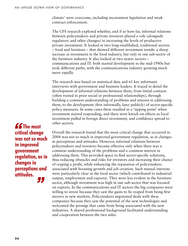climate' were overcome, including inconsistent legislation and weak contract enforcement.

The CFS research explored whether, and if so how far, informal relations between policymakers and private investors played a role (alongside regulatory and other changes) in increasing the levels of productive private investment. It looked at two long-established, traditional sectors – food and furniture – that showed different investment trends: a sharp increase in investment in the food industry, but only in one sub-sector of the furniture industry. It also looked at two newer sectors – communications and IT: both started development in the mid-1980s but took different paths, with the communications industry growing much more rapidly.

The research was based on statistical data and 61 key informant interviews with government and business leaders. It traced in detail the development of informal relations between them, from initial contacts (often rooted in prior social or professional relationships), through building a common understanding of problems and interest in addressing them, to the development (first informally, later publicly) of sector-specific policy measures. In some cases these resulted in a 'tipping point' when investment started responding, and there were knock-on effects as local investment pulled in foreign direct investment, and confidence spread to other sectors.

Overall the research found that the most critical change that occurred in 2004 was not so much in improved government regulation, as in changes in perceptions and attitudes. However, informal relations between policymakers and investors became effective only when there was a common understanding of the problems and a common interest in addressing them. This provided space to find sector-specific solutions, thus reducing obstacles and risks for investors and increasing their chance of reaping a profit, while enhancing the reputation of policymakers associated with boosting growth and job creation. Such mutual interests were particularly clear in the food sector (which contributed to industrial output, employment and exports). They were less evident in the furniture sector, although investment was high in one sub-sector that was focused on exports. In the communications and IT sectors the big companies were willing to invest because they saw the gains to be reaped from being first movers in new markets. Policymakers negotiated deals with these companies because they saw the potential of the new technologies and welcomed the prestige that came from being associated with the new industries. A shared professional background facilitated understanding and cooperation between the two sides.

*<u>ff</u>* The most **critical change was not so much in improved government regulation, as in changes in perceptions and attitudes.**77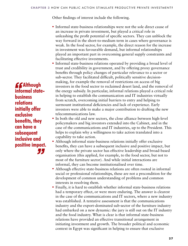Other findings of interest include the following.

- · Informal state-business relationships were not the sole direct cause of an increase in private investment, but played a critical role in unleashing the profit potential of specific sectors. They can unblock the way forward in the short-to-medium term in cases where governance is weak. In the food sector, for example, the direct reason for the increase in investment was favourable demand, but informal relationships played an important part in overcoming general supply constraints and facilitating effective investments.
- · Informal state-business relations operated by providing a broad level of trust and credibility in government, and by offering proxy governance benefits through policy changes of particular relevance to a sector or sub-sector. They facilitated difficult, politically sensitive decisionmaking, for example the removal of restrictions on access of big investors in the food sector to reclaimed desert land, and the removal of the energy subsidy. In particular, informal relations played a critical role in helping to establish the communication and IT industries virtually from scratch, overcoming initial barriers to entry and helping to surmount institutional deficiencies and lack of experience. Early investors were able to make a major contribution to drafting the new telecommunications law.
- · In both the old and new sectors, the close alliance between high-level policymakers and big investors extended into the Cabinet, and in the case of the communications and IT industries, up to the President. This helps to explain why a willingness to take action translated into a capability to take action.
- · Although informal state-business relations initially offer exclusive benefits, they can have a subsequent inclusive and positive impact, but only where the private sector has effective leadership and broad-based organisation (this applied, for example, to the food sector, but not to most of the furniture sector). And while initial interactions are informal, they can become institutionalised over time.
- · Although effective state-business relations are often rooted in informal social or professional relationships, these are not a precondition for the development of common understanding of problems and common interests in resolving them.
- · Finally, it is hard to establish whether informal state-business relations had a temporary effect, or were more enduring. The answer is clearest in the case of the communications and IT sectors, where a new industry was established. A tentative assessment is that the communications industry and the export-dominated sub-sector of the furniture industry had embarked on a new dynamic: the jury is still out on the IT industry and the food industry. What is clear is that informal state-business relations have provided an effective transitional arrangement in initiating investment and growth. The broader political and economic context in Egypt was significant in helping to ensure that exclusive

**Although informal statebusiness relations initially offer exclusive benefits, they can have a subsequent inclusive and positive impact.**77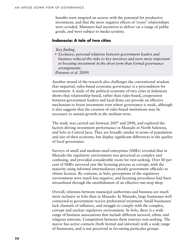benefits were targeted on sectors with the potential for productive investment, and that the more negative effects of 'crony' relationships were avoided. Ministers had incentives to deliver on a range of public goods, and were subject to media scrutiny.

#### **Indonesia: A tale of two cities**

#### *Key finding*

· *Exclusive, personal relations between government leaders and business reduced the risks to key investors and were more important in boosting investment in the short term than formal governance arrangements.* (Patunru *et al.* 2009*)*

Another strand of the research also challenges the conventional wisdom that impartial, rules-based economic governance is a precondition for investment. A study of the political economy of two cities in Indonesia shows that relationship-based, rather than rules-based, cooperation between government leaders and local firms can provide an effective mechanism to boost investment even where governance is weak, although it also suggests that the creation of rules-based institutions may be necessary to sustain growth in the medium term.

The study was carried out between 2007 and 2008, and explored the factors driving investment performance in Manado in North Sulawesi, and Solo in Central Java. They are broadly similar in terms of population and size of their economy, but display significant differences in the quality of local governance.

Surveys of small and medium-sized enterprises (SMEs) revealed that in Manado the regulatory environment was perceived as complex and confusing, and provided considerable room for rent-seeking. Over 80 per cent of SMEs surveyed saw the licensing process as corrupt, with the majority using informal intermediaries (mostly government officials) to obtain licences. By contrast, in Solo, perceptions of the regulatory environment were much less negative, and licensing procedures had been streamlined through the establishment of an effective one-stop shop.

Overall, relations between municipal authorities and business are much more inclusive in Solo than in Manado. In Manado, large businesses well connected to government receive preferential treatment. Small businesses lack channels of influence, and struggle to comply with the complex, corrupt and unclear regulatory environment. In Solo, there is a wide range of business associations that include different sectoral, ethnic and religious interests. Competition between them restricts rent-seeking. The mayor has active contacts (both formal and informal) with a wide range of businesses, and is not perceived as favouring particular groups.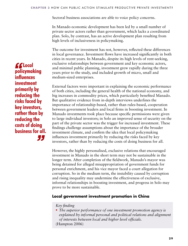Sectoral business associations are able to voice policy concerns.

In Manado economic development has been led by a small number of private sector actors rather than government, which lacks a coordinated plan. Solo, by contrast, has an active development plan resulting from high levels of inclusiveness in policymaking.

The outcome for investment has not, however, reflected these differences in local governance. Investment flows have increased significantly in both cities in recent years. In Manado, despite its high levels of rent-seeking, exclusive relationships between government and key economic actors, and minimal public planning, investment grew rapidly during the three years prior to the study, and included growth of micro, small and medium-sized enterprises.

External factors were important in explaining the economic performance of both cities, including the general health of the national economy, and big increases in commodity prices, which particularly benefited Manado. But qualitative evidence from in-depth interviews underlines the importance of relationship-based, rather than rules-based, cooperation between government leaders and local firms in boosting investment. In Manado investments took place because specific permissions were given to large individual investors; in Solo an improved sense of security on the part of the private sector was the trigger for increased investment. These findings challenge assumptions about the importance of the broader investment climate, and confirm the idea that local policymaking influences investment primarily by reducing the risks faced by key investors, rather than by reducing the costs of doing business for all.

However, the highly personalised, exclusive relations that encouraged investment in Manado in the short term may not be sustainable in the longer term. After completion of the fieldwork, Manado's mayor was being detained for alleged misappropriation of government funds for personal enrichment, and his vice mayor faced a court allegation for corruption. So in the medium term, the instability caused by corruption and rising inequality may undermine the effectiveness of exclusive, informal relationships in boosting investment, and progress in Solo may prove to be more sustainable.

#### **Local government investment promotion in China**

#### *Key finding*

· *The superior performance of one investment promotion agency is explained by informal personal and political relations and alignment of interests between local and higher level officials.*  (Hampton 2006)

**Local policymaking influences investment primarily by reducing the risks faced by key investors, rather than by reducing the costs of doing business for all.** 77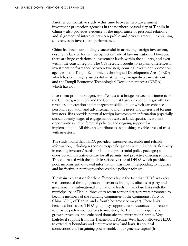Another comparative study – this time between two government investment promotion agencies in the northern coastal city of Tianjin in China – also provides evidence of the importance of personal relations and alignment of interests between public and private actors in explaining differences in investment performance.

China has been outstandingly successful in attracting foreign investment, despite its lack of formal 'best-practice' rule of law institutions. However, there are huge variations in investment levels within the country, and even within the coastal region. The CFS research sought to explain differences in investment performance between two neighbouring investment promotion agencies – the Tianjin Economic-Technological Development Area (TEDA) which has been highly successful in attracting foreign direct investment, and the Dongli Economic-Technological Development Area (DEDA), which has not.

Investment promotion agencies (IPAs) act as a bridge between the interests of the Chinese government and the Communist Party (in economic growth, tax revenues, job creation and management skills – all of which can enhance personal reputation and advancement), and the needs and interests of foreign investors. IPAs provide potential foreign investors with information (especially critical at early stages of engagement), access to land, specific investment opportunities and preferential policies, and ongoing support for implementation. All this can contribute to establishing credible levels of trust with investors.

The study found that TEDA provided: extensive, accessible and reliable information, including responses to specific queries within 24 hours; flexibility in meeting investors' needs for land and preferential policy packages; a one-stop administrative centre for all permits; and proactive ongoing support. This contrasted with the much less effective role of DEDA which provided poor, inconsistent, outdated information, was slow in responding to inquiries and ineffective in putting together credible policy packages.

The main explanation for the differences lay in the fact that TEDA was very well connected through personal networks linking its officials to party and government at sub-national and national levels. It had close links with the municipality of Tianjin (three of its recent former directors were promoted to become members of the Standing Committee of the Communist Party of China (CPC) of Tianjin, and a fourth became vice mayor). These links benefited both sides: TEDA got policy support, extra resources and freedom to provide preferential policies to investors; the Tianjin municipality got growth, revenues, and enhanced domestic and international status. Very high-level support from the Tianjin-born Premier Wen Jiabao allowed TEDA to extend its boundary and circumvent new land laws. Its political connections and bargaining power enabled it to generate capital (from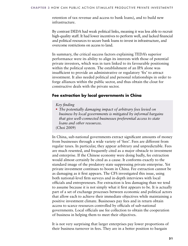retention of tax revenue and access to bank loans), and to build new infrastructure.

By contrast DEDA had weak political links, meaning it was less able to recruit high-quality staff. It had lower incentives to perform well, and lacked financial and political resources to secure bank loans to invest in infrastructure, and overcome restrictions on access to land.

In summary, the critical success factors explaining TEDA's superior performance were its ability to align its interests with those of potential private investors, which was in turn linked to its favourable positioning within the political system. The establishment of an IPA alone was insufficient to provide an administrative or regulatory 'fix' to attract investment. It also needed political and personal relationships in order to forge alliances within the public sector, and thus obtain the clout for constructive deals with the private sector.

#### **Fee extraction by local governments in China**

#### *Key finding*

- · *The potentially damaging impact of arbitrary fees levied on business by local governments is mitigated by informal bargains that give well-connected businesses preferential access to state loans and other resources.*
- (Choi 2009)

In China, sub-national governments extract significant amounts of money from businesses through a wide variety of 'fees'. Fees are different from regular taxes. In particular, they appear arbitrary and unpredictable. Fees are much resented, and frequently cited as a major obstacle to investment and enterprise. If the Chinese economy were doing badly, fee extraction would almost certainly be cited as a cause. It conforms exactly to the standard image of the predatory state suppressing private enterprise. Yet private investment continues to boom in China. Fee extraction cannot be as damaging as it first appears. The CFS investigated this issue, using both national-level firm surveys and in-depth interviews with local officials and entrepreneurs. Fee extraction is less damaging than we tend to assume because it is not simply what it first appears to be. It is actually part of a set of exchange processes between economic and political actors that allow each to achieve their immediate objectives while maintaining a positive investment climate. Businesses pay fees and in return obtain access to scarce resources controlled by officials of sub-national governments. Local officials use fee collection to obtain the cooperation of business in helping them to meet their objectives.

It is not very surprising that larger enterprises pay lower proportions of their business turnover in fees. They are in a better position to bargain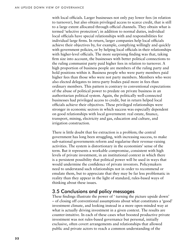with local officials. Larger businesses not only pay lower fees (in relation to turnover), but also obtain privileged access to scarce credit, that is still to a large extent allocated through official channels. They obtain what is termed 'selective protection'; in addition to normal duties, individual local officials have special relationships with and responsibilities for individual large firms. In return, larger companies help local officials achieve their objectives by, for example, complying willingly and quickly with government policies, or by helping local officials in their relationships with higher-level officials. The more surprising finding was that, taking firm size into account, the businesses with better political connections to the ruling communist party paid higher fees in relation to turnover. A high proportion of business people are members of the ruling party and hold positions within it. Business people who were party members paid higher fees than those who were not party members. Members who were also elected delegates to intra-party bodies paid more in fees than ordinary members. This pattern is contrary to conventional expectations of the abuse of political power to predate on private business in an authoritarian political system. Again, the politically well-connected businesses had privileged access to credit, but in return helped local officials achieve their objectives. These privileged relationships were stronger in economic sectors in which success was especially dependent on good relationships with local government: real estate, finance, transport, mining, electricity and gas, education and culture, and irrigation construction.

There is little doubt that fee extraction is a problem; the central government has long been struggling, with increasing success, to make sub-national governments reform and regularise their revenue-raising activities. The system is distortionary in the economists' sense of the term. But it represents a workable compromise, consistent with high levels of private investment, in an institutional context in which there is a persistent possibility that political power will be used in ways that would undermine the confidence of private investors. Policymakers need to understand such relationships not in order to recommend or emulate them, but to appreciate that they may be far less problematic in reality than they appear in the light of standard, rules-based ways of thinking about these issues.

# 3.5 Conclusions and policy messages

These findings illustrate the power of ' turning the picture upside down' – of closing off conventional assumptions about what constitutes a 'good' investment climate, and looking instead in a more open-minded way at what is actually driving investment in a given context. The results are counter-intuitive. In each of these cases what boosted productive private investment was not rules-based governance but personal, initially exclusive, often covert arrangements and relationships that allowed public and private actors to reach a common understanding of the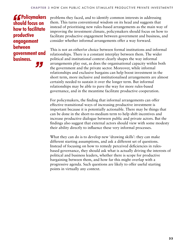*<u>FF</u>* Policymakers **should focus on how to facilitate productive engagement between government and business.** "

problems they faced, and to identify common interests in addressing them. This turns conventional wisdom on its head and suggests that instead of prioritising new rules-based arrangements as the main way of improving the investment climate, policymakers should focus on how to facilitate productive engagement between government and business, and consider whether informal arrangements offer a way forward.

This is not an either/or choice between formal institutions and informal relationships. There is a constant interplay between them. The wider political and institutional context clearly shapes the way informal arrangements play out, as does the organisational capacity within both the government and the private sector. Moreover, while informal relationships and exclusive bargains can help boost investment in the short term, more inclusive and institutionalised arrangements are almost certainly needed to sustain it over the longer term. But informal relationships may be able to pave the way for more rules-based governance, and in the meantime facilitate productive cooperation.

For policymakers, the finding that informal arrangements can offer effective transitional ways of increasing productive investment is important because it is potentially actionable. There may be things that can be done in the short-to-medium term to help shift incentives and increase productive dialogue between public and private actors. But the findings also suggest that external actors should view with some modesty their ability directly to influence these very informal processes.

What they can do is to develop new 'drawing skills': they can make different starting assumptions, and ask a different set of questions. Instead of focusing on how to remedy perceived deficiencies in rulesbased governance, they should ask what is actually driving the interests of political and business leaders, whether there is scope for productive bargaining between them, and how far this might overlap with a progressive agenda. Such questions are likely to offer useful starting points in virtually any context.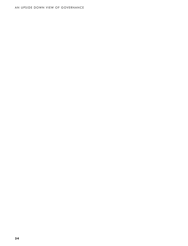#### AN UPSIDE DOWN VIEW OF GOVERNANCE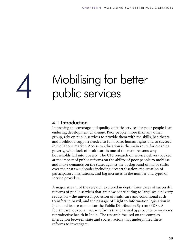# Mobilising for better<br>public services

# 4.1 Introduction

Improving the coverage and quality of basic services for poor people is an enduring development challenge. Poor people, more than any other group, rely on public services to provide them with the skills, healthcare and livelihood support needed to fulfil basic human rights and to succeed in the labour market. Access to education is the main route for escaping poverty, while lack of healthcare is one of the main reasons why households fall into poverty. The CFS research on service delivery looked at the impact of public reforms on the ability of poor people to mobilise and make demands on the state, against the background of major shifts over the past two decades including decentralisation, the creation of participatory institutions, and big increases in the number and types of service providers.

A major stream of the research explored in depth three cases of successful reforms of public services that are now contributing to large-scale poverty reduction – the universal provision of healthcare and conditional cash transfers in Brazil, and the passage of Right to Information legislation in India and its use to monitor the Public Distribution System (PDS). A fourth case looked at major reforms that changed approaches to women's reproductive health in India. The research focused on the complex interaction between state and society actors that underpinned these reforms to investigate: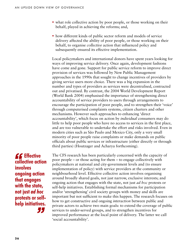- what role collective action by poor people, or those working on their behalf, played in achieving the reforms; and,
- · how different kinds of public sector reform and models of service delivery affected the ability of poor people, or those working on their behalf, to organise *collective* action that influenced policy and subsequently ensured its effective implementation.

Local policymakers and international donors have spent years looking for ways of improving service delivery. Once again, development fashions have come and gone*.* Support for public service reform to improve direct provision of services was followed by New Public Management approaches in the 1990s that sought to change incentives of providers by giving service users more choice. There was a big expansion in the number and types of providers as services were decentralised, contracted out and privatised. By contrast, the 2004 World Development Report (World Bank 2004) emphasised the importance of strengthening direct accountability of service providers to users through arrangements to encourage the participation of poor people, and to strengthen their 'voice' through computerised complaints systems, citizen charters and other mechanisms. However such approaches to enhancing 'direct accountability', which focus on action by *individual* consumers may do little to help poor people who have no access to services in the first place, and are too vulnerable to undertake the effort and risks involved. Even in modern cities such as São Paulo and Mexico City, only a very small minority of poor people raise complaints or make demands on public officials about public services or infrastructure (either directly or through third parties) (Houtzager and Acharya forthcoming).

**Effective collective action involves ongoing action that engages with the state, not just** *ad hoc*  **protests or selfhelp initiatives.**77

The CFS research has been particularly concerned with the capacity of poor people – or those acting for them – to engage collectively with policymakers at national and city-government levels and (to ensure implementation of policy) with service providers at the community or neighbourhood level. Effective collective action involves organising around broadly shared goals, not just narrow, exclusive interests; and ongoing action that engages with the state, not just *ad hoc* protests or self-help initiatives. Establishing formal mechanisms for participation and/or 'strengthening' civil society groups with money and skills are important but not sufficient to make this happen. The research focuses on how to get constructive and ongoing *interaction* between public and private actors to achieve two main goals: to extend the coverage of public services to under-served groups, and to strengthen incentives for improved performance at the local point of delivery. The latter we call 'social accountability'.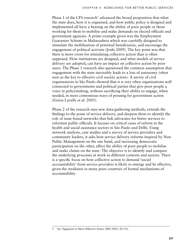Phase 1 of the CFS research<sup>5</sup> advanced the broad proposition that what the state does, how it is organised, and how public policy is designed and implemented all have a bearing on the ability of poor people or those working for them to mobilise and make demands on elected officials and government agencies. A prime example given was the Employment Guarantee Scheme in Maharashtra which was carefully designed to stimulate the mobilisation of potential beneficiaries, and encourage the engagement of political activists (Joshi 2009). The key point was that there is more room for stimulating collective action than is often supposed. How institutions are designed, and what models of service delivery are adopted, can have an impact on collective action by poor users. The Phase 1 research also questioned the common assumption that engagement with the state inevitably leads to a loss of autonomy (often seen as the key to effective civil society action). A survey of civil organisations in São Paulo showed that it is very often organisations well connected to governments and political parties that give poor people a voice in policymaking, without sacrificing their ability to engage, when needed, in more contentious ways of pressing for government action (Gurza Lavalle *et al.* 2005).

Phase 2 of the research uses new data-gathering methods, extends the findings to the point of service delivery, and deepens them to identify the role of issue-based networks that link advocates for better services to reformist public officials. It focuses on critical cases of reform in the health and social assistance sectors in São Paulo and Delhi. Using network analysis, case studies and a survey of service providers and community leaders, it asks how service delivery reforms inspired by New Public Management on the one hand, and increasing democratic participation on the other, affect the ability of poor people to mobilise and make claims on the state. The objective is to identify and compare the underlying processes at work in different contexts and sectors. There is a specific focus on how collective action to demand 'social accountability' from service providers is likely to emerge and be effective, given the weakness in many poor countries of formal mechanisms of accountability.

<sup>5</sup> See 'Signposts to More Effective States' (IDS 2005: 20–33).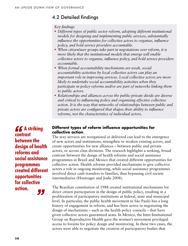# 4.2 Detailed findings

*Key findings*

- · *Different types of public sector reform, adopting different institutional models for designing and implementing public services, substantially influence the opportunities for collective actors to organise, influence policy, and hold service providers accountable.*
- · *When citizen/user groups take part in negotiations over reform, it is more likely that the institutional models that emerge will enable collective actors to organise, influence policy, and hold service providers accountable.*
- · *When formal accountability mechanisms are weak, social accountability activities by local collective actors can play an important role in improving services. Local collective actors are more likely to undertake social accountability activities when they participate in policy reforms and/or are part of networks linking them to public actors.*
- · *Relationships and alliances across the public-private divide are diverse and critical to influencing policy and organising effective collective action. It is the way that networks of relationships between public and private actors are configured that shapes their ability to influence reforms, not the characteristics of individual actors.*

**A** striking **contrast between the design of health reforms and social assistance programmes created different opportunities for collective action.** "

# **Different types of reform influence opportunities for collective action**

The way services are reorganised or delivered can lead to the emergence of new actors and institutions, strengthen or weaken existing actors, and create opportunities for new alliances – between public and private actors, or across class divisions. The research highlights a striking, broad contrast between the design of health reforms and social assistance programmes in Brazil and Mexico that created different opportunities for collective action. Health reforms provided mechanisms to give collective actors a role in ongoing monitoring, while social assistance programmes involved direct cash transfers to families, thus bypassing civil society intermediaries (Houtzager and Joshi 2008).

The Brazilian constitution of 1988 created institutional mechanisms for direct citizen participation in the design of public policy, resulting in a proliferation of participatory institutions at federal, state and municipal level. In particular, the public health movement in São Paulo has a long history of engagement in reform, and has been active in negotiating the design of mechanisms – such as the health policy councils – that have given collective actors guaranteed seats. In Mexico, the Inter-Institutional Group on Reproductive Health gave the women's movement privileged access to forums for policy design and monitoring. In these two cases, the actors were able to negotiate the creation of participatory bodies that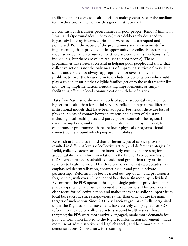facilitated their access to health decision-making centres over the medium term – thus providing them with a good 'institutional fit'.

By contrast, cash transfer programmes for poor people (Renda Minima in Brazil and Oportunidades in Mexico) were deliberately designed to bypass civil society intermediaries that were seen as corrupted and politicised. Both the nature of the programmes and arrangements for implementing them provided little opportunity for collective actors to mobilise or demand accountability (there are complaints mechanisms for individuals, but these are of limited use to poor people). These programmes have been successful in helping poor people, and show that collective action is not the only means of improving service delivery. But cash transfers are not always appropriate; moreover it may be problematic over the longer term to exclude collective actors who could play a role in ensuring that eligible families get onto the cash transfer list, monitoring implementation, negotiating improvements, or simply facilitating effective local communication with beneficiaries.

Data from São Paulo show that levels of social accountability are much higher for health than for social services, reflecting in part the different institutional models that have been adopted. For health there are lots of physical points of contact between citizens and agents of the state, including local health posts and participatory councils, the regional coordinating body, and the municipal health council. By contrast, for cash transfer programmes there are fewer physical or organisational contact points around which people can mobilise.

Research in India also found that different types of service provision resulted in different levels of collective action, and different strategies. In Delhi, collective actors are more intensively engaged in pressing for accountability and reform in relation to the Public Distribution System (PDS), which provides subsidised basic food grain, than they are in relation to health services. Health reform over the last two decades has emphasised decentralisation, contracting out and public-private partnerships. Reforms have been carried out top-down, and provision is fragmented, with over 70 per cent of healthcare financed by individuals. By contrast, the PDS operates through a single point of provision – fair price shops, which are run by licensed private owners. This provides a clear focus for collective action and makes it easier to solicit support from local bureaucrats, since shopowners rather than officials are the main targets of such action. Since 2001 civil society groups in Delhi, organised under the Right to Food movement, have actively campaigned for PDS reform. Compared to collective actors around health issues, those targeting the PDS were more actively engaged, made more demands for public information (linked to the Right to Information movement), made more use of administrative and legal channels, and held more public demonstrations (Chowdhury, forthcoming).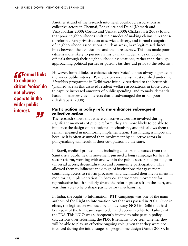Another strand of the research into neighbourhood associations as collective actors in Chennai, Bangalore and Delhi (Kamath and Vijayabaskar 2009; Coelho and Venkat 2009; Chakrabarti 2008) found that poor neighbourhoods shift their modes of making claims in response to reforms. Part-privatisation of service delivery, and formal recognition of neighbourhood associations in urban areas, have legitimised direct links between the associations and the bureaucracy. This has made poor citizens more likely to pursue claims by making demands on public officials through their neighbourhood associations, rather than through approaching political parties or patrons (as they did prior to the reforms).

However, formal links to enhance citizen 'voice' do not always operate in the wider public interest. Participatory mechanisms established under the *Bhagidari* programme in Delhi were initially restricted to the better-off 'planned' areas: this assisted resident welfare associations in those areas to capture increased amounts of public spending, and to make demands based on narrow class interests that disadvantaged the urban poor (Chakrabarti 2008).

## **Participation in policy reforms enhances subsequent collective action**

The research shows that where collective actors are involved during significant moments of public reform, they are more likely to be able to influence the design of institutional mechanisms, and this allows them to remain engaged in monitoring implementation. This finding is important because it is often assumed that involvement by collective actors in policymaking will result in their co-optation by the state.

In Brazil, medical professionals including doctors and nurses from the Sanitarista public health movement pursued a long campaign for health sector reform, working with and within the public sector, and pushing for universal access, decentralisation and community participation. This allowed them to influence the design of institutions that gave them continuing access to reform processes, and facilitated their involvement in monitoring implementation. In Mexico, the women's movement for reproductive health similarly drove the reform process from the start, and was thus able to help shape participatory mechanisms.

In India, the Right to Information (RTI) campaign was one of the main authors of the Right to Information Act that was passed in 2004. Once in effect, the legislation was used by an advocacy NGO in Delhi that had been part of the RTI campaign to demand accountability for failures of the PDS. This NGO was subsequently invited to take part in policy discussions over reforming the PDS. It remains to be seen whether they will be able to play an effective ongoing role, given that they were not involved during the initial stages of programme design (Pande 2008). In

**Formal links to enhance citizen 'voice' do not always operate in the wider public interest.**99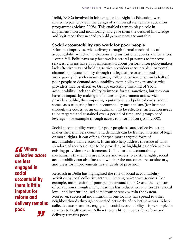Delhi, NGOs involved in lobbying for the Right to Education were invited to participate in the design of a universal elementary education programme (Mehtta 2008). This enabled them to play a role in implementation and monitoring, and gave them the detailed knowledge and legitimacy they needed to hold government accountable.

# **Social accountability can work for poor people**

Efforts to improve service delivery through formal mechanisms of accountability – including elections and institutional checks and balances – often fail. Politicians may face weak electoral pressures to improve services; citizens have poor information about performance; policymakers lack effective ways of holding service providers accountable; horizontal channels of accountability through the legislature or an ombudsman work poorly. In such circumstances, collective action by or on behalf of poor people to demand accountability from policymakers and service providers may be effective. Groups exercising this kind of 'social accountability' lack the ability to impose formal sanctions, but they can have an impact by making the failures of government and service providers public, thus imposing reputational and political costs, and in some cases triggering formal accountability mechanisms (for instance through the courts, or an ombudsman). To be effective, such action needs to be targeted and sustained over a period of time, and groups need leverage – for example through access to information (Joshi 2008).

Social accountability works for poor people because collective action makes their numbers count, and demands can be framed in terms of legal or moral rights. It can offer a sharper, more targeted form of accountability than elections. It can also help address the issue of what standard of services ought to be provided, by highlighting deficiencies in existing provision or entitlements. Unlike formal accountability mechanisms that emphasise process and access to existing rights, social accountability can also focus on whether the outcomes are satisfactory, and press for improvements in standards of provision.

Research in Delhi has highlighted the role of social accountability activities by local collective actors in helping to improve services. For example, mobilisation of poor people around the PDS and the exposure of corruption through public hearings has reduced corruption at the local level, and institutionalised some transparency within the system. Moreover, successful mobilisation in one locality has spread to other neighbourhoods through connected networks of collective actors. Where collective actors are less engaged in social accountability – for example, in relation to healthcare in Delhi – there is little impetus for reform and delivery remains poor.

*<u>f</u>* Where **collective actors are less engaged in social accountability there is little impetus for reform and delivery remains poor.**, L,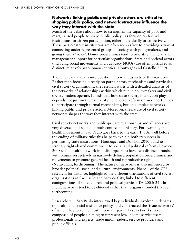## **Networks linking public and private actors are critical to shaping public policy, and network structures influence the way they interact with the state**

Much of the debate about how to strengthen the capacity of poor and marginalised people to shape public policy has focused on formal institutions for citizen participation, either individually or collectively. These participatory institutions are often seen as key to providing a way of connecting under-represented groups in society with policymakers, and giving them a 'voice'. Donor programmes tend to prioritise financial and management support for particular organisations. State and societal actors (including social movements and advocacy NGOs) are often portrayed as distinct, relatively autonomous entities (Houtzager and Castello 2009).

The CFS research calls into question important aspects of this narrative. Rather than focusing directly on participatory mechanisms and particular civil society organisations, the research starts with a detailed analysis of the networks of relationships within which public policymakers and civil society leaders operate. It finds that how state-society interaction plays out depends not just on the nature of public sector reform or on opportunities to participate through formal mechanisms, but on complex networks linking public and private actors. Moreover, the nature of civil society networks shapes the way they interact with the state.

Civil society networks and public-private relationships and alliances are very diverse, and rooted in both context and history. For example, the health movement in São Paulo goes back to the early 1980s, well before the ending of military rule: this helps to explain both its success in permeating state institutions (Houtzager and Dowbor 2010), and its strongly rights-based commitment to social and political reform (Dowbor 2008). The health network in India appears to have two distinct strands, with origins respectively in narrowly defined population programmes, and movements to promote general health and reproductive rights (Narayanan, forthcoming). The nature of networks is also influenced by broader political, social and cultural environments: Phase 1 of the CFS research, for instance, highlighted the different orientations of civil society organisations in São Paulo and Mexico City, linked to different configurations of state, church and political parties (IDS 2005: 24). In India, networks tend to be elite-led rather than organisation-led (Pande, forthcoming).

Researchers in São Paulo interviewed key individuals involved in debates on health and social assistance policy, and constructed the 'issue networks' of which they were the most important part. These networks were composed of people claiming to represent low-income service users, professionals and experts, trade union leaders, service providers and public officials.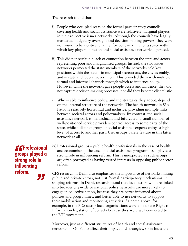The research found that:

- i) People who occupied seats on the formal participatory councils covering health and social assistance were relatively marginal players in their respective issues networks. Although the councils have legally mandated budgetary oversight and decision-making powers, they were not found to be a critical channel for policymaking, or a space within which key players in health and social assistance networks operated.
- ii) This did not result in a lack of connection between the state and actors representing poor and marginalised groups. Instead, the two issues networks permeated the state: members of the networks held key positions within the state – in municipal secretariats, the city assembly, and in state and federal government. This provided them with multiple formal and informal channels through which to influence policy. However, while the networks gave people access and influence, they did not capture decision-making processes; nor did they become clientelistic.
- iii)Who is able to influence policy, and the strategies they adopt, depend on the internal structure of the networks. The health network in São Paulo is relatively horizontal and inclusive, providing multiple links between societal actors and policymakers. By contrast, the social assistance network is hierarchical, and bifurcated: a small number of well-positioned service providers control access to some parts of the state, while a distinct group of social assistance experts enjoys a high level of access to another part. User groups barely feature in this latter network at all.

# *<u>Eferofessional</u>* **groups played a strong role in influencing reform.**"

iv) Professional groups – public health professionals in the case of health, and economists in the case of social assistance programmes – played a strong role in influencing reform. This is unexpected as such groups are often portrayed as having vested interests in opposing public sector reform.

CFS research in Delhi also emphasises the importance of networks linking public and private actors, not just formal participatory mechanisms, in shaping reforms. In Delhi, research found that local actors who are linked into broader city-wide or national policy networks are more likely to engage in collective action, because they are better informed about policies and programmes, and better able to use networks to support their mobilisation and monitoring activities. As noted above, for example, in the PDS sector local organisations were able to use Right to Information legislation effectively because they were well connected to the RTI movement.

Moreover, just as different structures of health and social assistance networks in São Paulo affect their impact and strategies, so in India the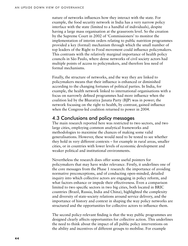nature of networks influences how they interact with the state. For example, the food security network in India has a very narrow policy interface with the state (limited to a handful of individuals), despite having a large mass organisation at the grassroots level. So the creation by the Supreme Court in 2002 of 'Commissioners' to monitor the implementation of interim orders relating to public nutrition programmes provided a key (formal) mechanism through which the small number of top leaders of the Right to Food movement could influence policymakers. This contrasts with the relatively marginal importance of health policy councils in São Paulo, where dense networks of civil society actors had multiple points of access to policymakers, and therefore less need of formal mechanisms.

Finally, the structure of networks, and the way they are linked to policymakers means that their influence is enhanced or diminished according to the changing fortunes of political parties. In India, for example, the health network linked to international organisations with a focus on narrowly defined programmes had more influence when the coalition led by the Bharatiya Janata Party (BJP) was in power; the network focusing on the right to health, by contrast, gained influence when the Congress-led coalition returned to power in 2004.

# 4.3 Conclusions and policy messages

The main research reported here was restricted to two sectors, and two large cities, employing common analytical frameworks and methodologies to maximise the chances of making some valid generalisations. However, these would need to be tested to see whether they hold in very different contexts – for example in rural areas, smaller cities, or in countries with lower levels of economic development and weaker political and institutional environments.

Nevertheless the research does offer some useful pointers for policymakers that may have wider relevance. Firstly, it underlines one of the core messages from the Phase 1 research: the importance of avoiding normative preconceptions, and of conducting open-minded, detailed inquiry into which collective actors are engaging in policy reform, and what factors enhance or impede their effectiveness. Even a comparison limited to two specific sectors in two big cities, both located in BRIC countries (Brazil, Russia, India and China), highlighted the complexity and diversity of state-society relations around service delivery, and the importance of history and context in shaping the way policy networks are structured and the opportunities for collective actors to influence them.

The second policy-relevant finding is that the way public programmes are designed clearly affects opportunities for collective action. This underlines the need to think about the impact of all public policy interventions on the ability and incentives of different groups to mobilise. For example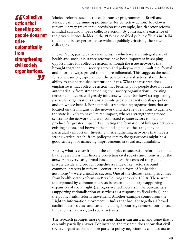**C**Collective **action that benefits poor people does not arise automatically from strengthening civil society organisations.**"

'choice' reforms such as the cash transfer programmes in Brazil and Mexico can undermine opportunities for collective action. Top-down reform, or very fragmented provision (for example, health sector reform in India) can also impede collective action. By contrast, the existence of the private licence-holder in the PDS case enabled public officials in Delhi to demand better performance without publicly criticising their own colleagues.

In São Paulo, participatory mechanisms which were an integral part of health and social assistance reforms have been important in shaping opportunities for collective action, although the issue networks that brought together civil society actors and policymakers in multiple, formal and informal ways proved to be more influential. This suggests the need for some caution, especially on the part of external actors, about their ability to engineer quick institutional fixes. What the research does emphasise is that collective action that benefits poor people does not arise automatically from strengthening civil society organisations – existing networks of actors will greatly influence whether (or how) strengthening particular organisations translates into greater capacity to shape policy, and on whose behalf. For example, strengthening organisations that are located on the margins of the network and have few relations to agents of the state is likely to have limited impact, whereas strengthening those central to the network and well connected to state actors is likely to produce far greater impact. Facilitating the formation of linkages between existing actors, and between them and agents of the state, may be particularly important. Investing in strengthening networks that have a strong vertical reach (from policymakers to the grassroots) might be a good strategy for achieving improvements in social accountability.

Finally, what is clear from all the examples of successful reform examined by the research is that fiercely protecting civil society autonomy is not the answer. In every case, broad-based alliances that crossed the publicprivate divide and brought together a range of key actors around common interests in reform – constructing a form of 'embedded autonomy' – were critical to success. One of the clearest examples comes from health sector reforms in Brazil during the early 1980s. These were underpinned by common interests between the military (supporting expansion of social rights), progressive technocrats in the bureaucracy (supporting rationalisation of services as a response to fiscal crisis), and the public health reform movement. Another example comes from the Right to Information movement in India that brought together a broad coalition across class and caste, including labourers, farmers, journalists, bureaucrats, lawyers, and social activists.

The research prompts more questions than it can answer, and some that it can only partially answer. For instance, the research does show that civil society organisations that are party to policy negotiations can also act as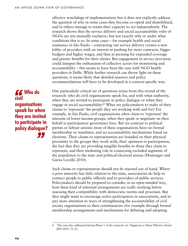effective watchdogs of implementation; but it does not explicitly address the question of why in some cases they become co-opted and demobilised, and in others manage to retain their capacity to act independently. The research shows that the service delivery and social accountability roles of NGOs are not mutually exclusive, but not exactly why or under what conditions this is so. In some cases – for example health and social assistance in São Paulo – contracting out service delivery creates a new lobby of providers with an interest in pushing for more contracts, bigger budgets and higher wages, and thus in pressing for expanded coverage and greater benefits for their clients. But engagement in service provision could dampen the enthusiasm of collective actors for monitoring and accountability – this seems to have been the case with NGO health providers in Delhi. While further research can throw light on these questions, it seems likely that detailed answers and policy recommendations will have to be developed in a context-specific way.

 **Who do civil organisations speak for when they are invited to participate in policy dialogue?**"

One particularly critical set of questions arises from this strand of the research: who do civil organisations speak for, and with what authority, when they are invited to participate in policy dialogue or when they engage in social accountability?6 What are policymakers to make of their claims to 'represent' the people they are working with and for? For example, in São Paulo, civil organisations often claim to 'represent' the interests of lower-income groups, when they speak or negotiate on their behalf in participatory governance fora. But (in contrast to political parties or labour unions) most of these organisations have no formal membership or mandates, and no accountability mechanisms based on elections. Their claims to representation are founded on their physical proximity to the groups they work with, their openness to participation, the fact that they are providing tangible benefits to those they claim to represent, and their mediating role in connecting excluded segments of the population to the state and political-electoral arenas (Houtzager and Gurza Lavalle 2010).

Such claims to representation should not be rejected out of hand. Where a poor minority has little relation to the state, associations do help to connect people to public officials and to providers of public services. Policymakers should be prepared to consider, in an open-minded way, how these kind of informal arrangements are really working before assessing their compatibility with democratic norms and processes. But they might want to encourage active participation in associations, and to pay more attention to ways of strengthening the accountability of civil society organisations to their constituencies (for example through formal membership arrangements and mechanisms for debating and adopting

<sup>6</sup> This was also addressed during Phase 1 of the research: see 'Signposts to More Effective States' (IDS 2005: 31–2).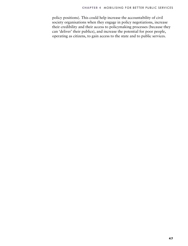policy positions). This could help increase the accountability of civil society organisations when they engage in policy negotiations, increase their credibility and their access to policymaking processes (because they can 'deliver' their publics), and increase the potential for poor people, operating as citizens, to gain access to the state and to public services.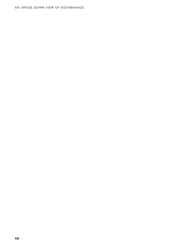#### AN UPSIDE DOWN VIEW OF GOVERNANCE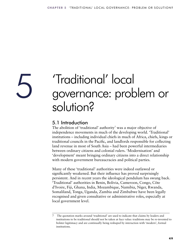5

# 'Traditional' local governance: problem or solution?

# 5.1 Introduction

The abolition of 'traditional' authority<sup>7</sup> was a major objective of independence movements in much of the developing world. 'Traditional' institutions – including individual chiefs in much of Africa, chiefs, kings or traditional councils in the Pacific, and landlords responsible for collecting land revenue in most of South Asia – had been powerful intermediaries between ordinary citizens and colonial rulers. 'Modernisation' and 'development' meant bringing ordinary citizens into a direct relationship with modern government bureaucracies and political parties.

Many of these 'traditional' authorities were indeed outlawed or significantly weakened. But their influence has proved surprisingly persistent. And in recent years the ideological pendulum has swung back. 'Traditional' authorities in Benin, Bolivia, Cameroon, Congo, Côte d'Ivoire, Fiji, Ghana, India, Mozambique, Namibia, Niger, Rwanda, Somaliland, Tonga, Uganda, Zambia and Zimbabwe have been legally recognised and given consultative or administrative roles, especially at local government level.

<sup>7</sup> The quotation marks around 'traditional' are used to indicate that claims by leaders and institutions to be traditional should not be taken at face value: traditions may be re-invented to bolster legitimacy and are continually being reshaped by interaction with 'modern', formal institutions.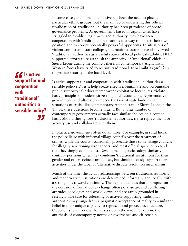In some cases, the immediate motive has been the need to placate particular ethnic groups. But the main factor underlying this official revalidation of 'traditional' authority has been prevalence of broad governance problems. As governments based in capital cities have struggled to establish legitimacy and authority, they have seen cooperation with 'traditional' institutions as a way to bolster their own position and to co-opt potentially powerful opponents. In situations of violent conflict and state collapse, international actors have also viewed 'traditional' authorities as a useful source of local political stability. DFID supported efforts to re-establish the authority of 'traditional' chiefs in Sierra Leone during the conflicts there. In contemporary Afghanistan, Western forces have tried to recruit 'traditional' tribal militias (*arbakai*) to provide security at the local level.

Is active support for and cooperation with 'traditional' authorities a sensible policy? Does it help create effective, legitimate and accountable public authority? Or does it empower exploitative local elites, violate basic principles of modern citizenship and accountable, representative government, and ultimately impede the task of state building? In situations of crisis, like contemporary Afghanistan or Sierra Leone in the 1990s, these questions become urgent. But a large number of contemporary governments actually face similar choices on a routine basis. Should they ignore 'traditional' authorities, try to repress them, or actively use and collaborate with them?

In practice, governments often do all three. For example, in rural India, the police liaise with informal village councils over the treatment of crimes, while the courts occasionally prosecute those same village councils for illegally sanctioning wrongdoers, and most official agencies pretend that they simply do not exist. Development agencies adopt similarly contrary positions when they condemn 'traditional' institutions for their gender and other sociocultural biases, but simultaneously support their activities under the label of 'alternative dispute resolution mechanisms'.

Much of the time, the actual relationships between traditional authority and modern state institutions are determined informally and locally, with a strong bias toward continuity. The explicit debates that do impact on the occasional formal policy change often polarise around conflicting attitudes, ideologies and world views, and are rarely grounded in research. The case for tolerating or actively supporting traditional authorities may range from a pragmatic acceptance of reality to a militant belief in their unique capacity to represent and protect local culture. Opponents tend to view them as a step in the wrong direction: the antithesis of contemporary norms of governance and citizenship.

*<u>f</u>* Is active **support for and cooperation with 'traditional' authorities a sensible policy?**"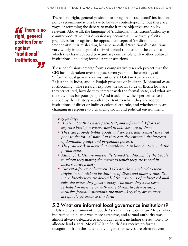*ff* There is no **right, general position for or against 'traditional' institutions.**

There is no right, general position for or against 'traditional' institutions: policy recommendations have to be very context-specific. But there are ways of reframing the debate to make it more objective and policyrelevant. Above all, the language of 'traditional' institutions/authority is counterproductive. It is diversionary because it immediately elicits prejudices for or against the opposed concepts of 'tradition' and 'modernity'. It is misleading because so-called 'traditional' institutions vary widely in the depth of their historical roots and in the extent to which they have adapted to – and are compatible with – other political institutions, including formal state institutions.

These conclusions emerge from a comparative research project that the CFS has undertaken over the past seven years on the workings of 'informal local governance institutions' (ILGIs) in Karnataka and Rajasthan in India, and in Punjab province of Pakistan (Mohmand *et al.* forthcoming). The research explores the social value of ILGIs: how are they structured, how do they interact with the formal state, and what are the outcomes for poor people? And it asks how their performance is shaped by their history – both the extent to which they are rooted in institutions of direct or indirect colonial era rule, and whether they are changing in response to a changing social and political environment.

## *Key findings*

- · *ILGIs in South Asia are persistent, and influential. Efforts to improve local governance need to take account of them.*
- · *They can provide public goods and services, and connect the rural poor to the formal state. But they can also entrench the interests of dominant groups and perpetuate poverty.*
- · *They can work in ways that complement and/or compete with the formal state.*
- · *Although ILGIs are universally termed 'traditional' by the people to whom they matter, the extent to which they are rooted in history varies widely.*
- · *Current differences between ILGIs are closely related to their origins in colonial era institutions of direct and indirect rule. The more directly they are descended from systems of indirect colonial rule, the worse they govern today. The more they have been reshaped in interaction with more pluralistic, democratic, inclusive formal institutions, the more likely they are to meet acceptable governance standards.*

# 5.2 What are informal local governance institutions?

ILGIs are less prominent in South Asia than in sub-Saharan Africa, where indirect colonial rule was more extensive, and formal authority was almost always delegated to individual chiefs, including the authority to allocate land rights. Most ILGIs in South Asia receive no formal recognition from the state, and villagers themselves are often reticent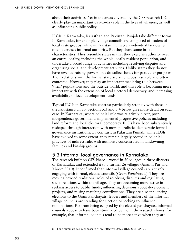about their activities. Yet in the areas covered by the CFS research ILGIs clearly play an important day-to-day role in the lives of villagers, as well as influencing public policy.

ILGIs in Karnataka, Rajasthan and Pakistani Punjab take different forms. In Karnataka, for example, village councils are composed of leaders of local caste groups, while in Pakistani Punjab an individual landowner often exercises informal authority. But they share some broad characteristics. They resemble states in that they exercise authority over an entire locality, including the whole locally resident population, and undertake a broad range of activities including resolving disputes and organising social and development activities. Unlike states they do not have revenue-raising powers, but do collect funds for particular purposes. Their relations with the formal state are ambiguous, variable and often contested. However, they play an important mediating role between 'their' populations and the outside world, and this role is becoming more important with the extension of local electoral democracy, and increasing availability of local development funds.

Typical ILGIs in Karnataka contrast particularly strongly with those in the Pakistani Punjab. Sections 5.3 and 5.4 below give more detail on each case. In Karnataka, where colonial rule was relatively direct, postindependence governments implemented progressive policies including land reform and local electoral democracy. ILGIs have been substantively reshaped through interaction with more pluralistic, democratic formal governance institutions. By contrast, in Pakistani Punjab, while ILGIs have evolved to some extent, they remain largely rooted in colonial practices of indirect rule, with authority concentrated in landowning families and kinship groups.

# 5.3 Informal local governance in Karnataka

The research built on CFS Phase  $1$  work $8$  in  $30$  villages in three districts of Karnataka, and extended it to a further 26 villages (Ananth Pur and Moore 2010). It confirmed that informal village councils are actively engaging with formal, elected councils (*Gram Panchayats*). They are moving beyond traditional roles of resolving disputes and regulating social relations within the village. They are becoming more active in seeking access to public funds, influencing decisions about development projects, and raising matching contributions. They are also influencing elections to the Gram Panchayats: leaders and members of the informal village councils are standing for election or seeking to influence nominations. Far from being eclipsed by the elected panchayats, informal councils appear to have been stimulated by them: the research shows, for example, that informal councils tend to be more active when they are

<sup>8</sup> For a summary see 'Signposts to More Effective States' (IDS 2005: 25–7).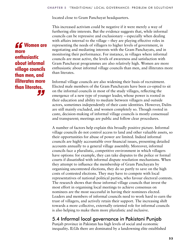located close to Gram Panchayat headquarters.

This increased activism could be negative if it were merely a way of furthering elite interests. But the evidence suggests that, while informal councils can be repressive and exclusionary – especially when dealing with affairs internal to the village – they are playing effective roles in representing the needs of villagers to higher levels of government, in negotiating and mediating interests with the Gram Panchayats, and in monitoring their performance. For instance, in villages where informal councils are most active, the levels of awareness and satisfaction with Gram Panchayat programmes are also relatively high. Women are more enthusiastic about informal village councils than men, and illiterates more than literates.

Informal village councils are also widening their basis of recruitment. Elected male members of the Gram Panchayats have been co-opted to sit on the informal councils in most of the study villages, reflecting the emergence of a new type of younger leader, whose power is rooted in their education and ability to mediate between villagers and outside actors, sometimes independently of their caste identities. However, Dalits are still mainly excluded, and women completely so. Though rooted in caste, decision-making of informal village councils is mostly consensual and transparent; meetings are public and follow clear procedures.

A number of factors help explain this broadly positive picture. Informal village councils do not control access to land and other valuable assets, so their opportunities for abuse of power are limited. Indeed informal councils are highly accountable over financial issues, presenting detailed accounts annually to a general village assembly. Moreover, informal councils face a pluralistic, competitive environment in which villagers have options: for example, they can take disputes to the police or formal courts if dissatisfied with informal dispute resolution mechanisms. When they attempt to influence the membership of Gram Panchayats by organising uncontested elections, they do so partly to save on the high costs of contested elections. They may have to compete with local representatives of national political parties, who favour electoral contests. The research shows that those informal village councils that invest the most effort in organising local meetings to achieve consensus on nominees are the most successful in having their nominees elected. Leaders and members of informal councils need to work hard to earn the trust of villagers, and actively retain their support. The increasing shift towards a more collective, externally oriented role for informal councils is also helping to make them more pluralistic and inclusive.

# 5.4 Informal local governance in Pakistani Punjab

Punjab province in Pakistan has high levels of social and economic inequality**.** ILGIs there are dominated by a landowning elite established

*KC* Women are **more enthusiastic about informal village councils than men, and illiterates more than literates.**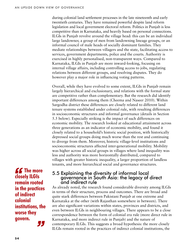during colonial land settlement processes in the late nineteenth and early twentieth centuries. They have remained powerful despite land reform legislation and local government electoral reform. Politics in Punjab is less competitive than in Karnataka, and heavily based on personal connections. ILGIs in Punjab revolve around the village head: this can be an individual large landowner, a group of men from landowning lineage groups, or an informal council of male heads of socially dominant families. They mediate relationships between villagers and the state, facilitating access to services, government departments, police and the courts. Authority is exercised in highly personalised, non-transparent ways. Compared to Karnataka, ILGIs in Punjab are more inward-looking, focusing on internal village affairs, including controlling access to jobs, regulating relations between different groups, and resolving disputes. They do however play a major role in influencing voting patterns.

Overall, while they have evolved to some extent, ILGIs in Punjab remain largely hierarchical and exclusionary, and relations with the formal state are competitive rather than complementary. But the research did identify important differences among them (Cheema and Naseer 2010). Within Sargodha district these differences are closely related to different land tenure systems established under colonial rule, with resulting differences in socioeconomic structures and informal governance (details in Section 5.5 below). Especially striking is the impact of such differences on economic mobility. The research looked at educational attainment across three generations as an indicator of economic mobility, and found it closely related to a household's historic social position, with historically depressed social groups doing much worse than the rest and continuing to diverge from them. Moreover, historic village-level institutions and socioeconomic structures affected inter-generational mobility. Mobility was higher across all social groups in villages where land inequality was less and authority was more horizontally distributed, compared to villages with greater historic inequality, a larger proportion of landless tenants, and more hierarchical social and governance structures.

**The more closely ILGIs remain rooted in the practices of indirect colonial institutions, the worse they govern.**77

# 5.5 Explaining the diversity of informal local governance in South Asia: the legacy of direct and indirect rule

As already noted, the research found considerable diversity among ILGIs in terms of their structure, process and outcomes. There are broad and quite stark differences between Pakistani Punjab at one extreme and Karnataka at the other (with Rajasthan somewhere in between). There are also significant variations within states, provinces and districts, and even between ILGIs in neighbouring villages. There appears to be a close correspondence between the form of colonial era rule (more direct rule in Karnataka, and more indirect rule in Punjab) and the nature of contemporary ILGIs. This suggests a broad hypothesis: the more closely ILGIs remain rooted in the practices of indirect colonial institutions, the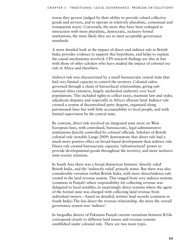worse they govern (judged by their ability to provide valued collective goods and services, and to operate in relatively pluralistic, consensual and transparent ways). Conversely, the more they have been reshaped in interaction with more pluralistic, democratic, inclusive formal institutions, the more likely they are to meet acceptable governance standards.

A more detailed look at the impact of direct and indirect rule in British India provides evidence to support this hypothesis, and helps to explain the causal mechanisms involved. CFS research findings are also in line with those of other scholars who have studied the impact of colonial era rule in Africa and elsewhere.

*Indirect rule* was characterised by a small bureaucratic central state that had very limited capacity to control the territory. Colonial rulers governed through a chain of hierarchical relationships, giving subnational elites extensive, largely unchecked authority over local populations. This included rights to collect taxes, maintain law and order, adjudicate disputes and (especially in Africa) allocate land. Indirect rule created a system of decentralised petty despots, organised along patrimonial lines but with little accountability to local people, and with limited supervision by the central state.

By contrast, *direct rule* involved an integrated state more on West European lines, with centralised, bureaucratic, legal-administrative institutions directly controlled by colonial officials. Scholars of British colonial rule (notably Lange 2009) demonstrate that direct rule had a much more positive effect on broad-based development than indirect rule. Direct rule created bureaucratic capacity, 'infrastructural' power to provide developmental goods throughout the territory, and more inclusive state-society relations.

In South Asia there was a broad distinction between 'directly ruled' British India, and the 'indirectly ruled' princely states. But there was also considerable variation within British India, with more direct/indirect rule rooted in the land revenue system. This ranged from very indirect systems (common in Punjab) where responsibility for collecting revenue was delegated to local notables, to surprisingly direct systems where the agent of the formal state was charged with collecting land revenue from individual owners – based on detailed, written land records (common in South India).The less direct the revenue relationship, the more the overall governance system was 'indirect'.

In Sargodha district of Pakistani Punjab current variations between ILGIs correspond closely to different land tenure and revenue systems established under colonial rule. There are two main types.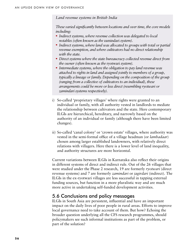*Land revenue systems in British India* 

*These varied significantly between locations and over time, the core models including:*

- · *Indirect systems, where revenue collection was delegated to local notables (often known as the* zamindari *system).*
- · *Indirect systems, where land was allocated to groups with total or partial revenue exemption, and where cultivators had no direct relationship with the state.*
- · *Direct systems where the state bureaucracy collected revenue direct from the owner (often known as the* ryotwari *system).*
- · *Intermediate systems, where the obligation to pay land revenue was attached to rights in land and assigned jointly to members of a group, typically a lineage or family. Depending on the composition of the group (ranging from a collective of cultivators to an individual), these arrangements could be more or less direct (resembling ryotwari or zamindari systems respectively).*
- i) So-called 'proprietary villages' where rights were granted to an individual or family, with all authority vested in landlords to mediate the relationship between cultivators and the state. Here contemporary ILGIs are hierarchical, hereditary, and narrowly based on the authority of an individual or family (although there have been limited changes).
- ii) So-called 'canal colony' or 'crown estate' villages, where authority was vested in the semi-formal office of a village headman (or *lambadaar*) chosen among larger established landowners, with relatively direct relations with villagers. Here there is a lower level of land inequality, and authority structures are more horizontal.

Current variations between ILGIs in Karnataka also reflect their origins in different systems of direct and indirect rule. Out of the 26 villages that were studied under the Phase 2 research, 19 are formerly *ryotwari* (direct revenue systems) and 7 are formerly *zamindari* or *jagirdari* (indirect). The ILGIs in the ex-ryotwari villages are less successful in tapping external funding sources, but function in a more pluralistic way and are much more active in undertaking self-funded development activities.

# 5.6 Conclusions and policy messages

ILGIs in South Asia are persistent, influential and have an important impact on the daily lives of poor people in rural areas. Efforts to improve local governance need to take account of them. But how? Echoing the broader question underlying all the CFS research programmes, should policymakers see such informal institutions as part of the problem, or part of the solution?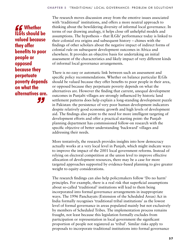*ff* Whether **ILGIs should be valued because they offer benefits to poor people or opposed because they perpetuate poverty depends on what the alternatives are.**99

The research moves discussion away from the emotive issues associated with 'traditional' institutions, and offers a more neutral approach to thinking about the bewildering diversity of informal local governance. In terms of our drawing analogy, it helps close off unhelpful models and assumptions. The hypothesis – that ILGIs' performance today is linked to their colonial era origins and subsequent history – chimes with the findings of other scholars about the negative impact of indirect forms of colonial rule on subsequent development outcomes in Africa and elsewhere. It provides an objective basis for undertaking an initial assessment of the characteristics and likely impact of very different kinds of informal local governance arrangements.

There is no easy or automatic link between such an assessment and specific policy recommendations. Whether on balance particular ILGIs should be valued because they offer benefits to poor people in their area, or opposed because they perpetuate poverty depends on what the alternatives are. However the finding that current, unequal development outcomes in Punjabi villages are strongly influenced by historic land settlement patterns does help explain a long-standing development puzzle in Pakistan: the persistence of very poor human development indicators despite relatively good economic growth and high levels of development aid. The findings also point to the need for more intelligent targeting of development efforts and offer a practical starting point: the Punjab planning department has commissioned follow-on research with the specific objective of better understanding 'backward' villages and addressing their needs.

More tentatively, the research provides insights into how democracy actually works at a very local level in Punjab, which might indicate ways to improve the impact of the 2001 local government reforms. Instead of relying on electoral competition at the union level to improve effective allocation of development resources, there may be a case for more targeted approaches supported by evidence-based planning to give greater weight to equity considerations.

The research findings can also help policymakers follow 'Do no harm' principles. For example, there is a real risk that superficial assumptions about so-called 'traditional' institutions will lead to them being incorporated into formal governance arrangements in inappropriate ways. The 1996 Panchayats (Extension of the Scheduled Areas) Act in India formally recognises 'traditional tribal institutions' as the lowest level of formal governance in areas populated mainly but not exclusively by members of Scheduled Tribes. The implementation process remains fraught, not least because this legislation formally excludes from participation or representation in local government the significant proportion of people not registered as 'tribal'. Similar risks apply to proposals to incorporate traditional institutions into formal governance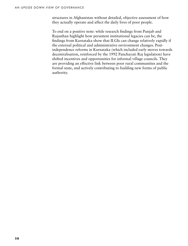structures in Afghanistan without detailed, objective assessment of how they actually operate and affect the daily lives of poor people.

To end on a positive note: while research findings from Punjab and Rajasthan highlight how persistent institutional legacies can be, the findings from Karnataka show that ILGIs can change relatively rapidly if the external political and administrative environment changes. Postindependence reforms in Karnataka (which included early moves towards decentralisation, reinforced by the 1992 Panchayati Raj legislation) have shifted incentives and opportunities for informal village councils. They are providing an effective link between poor rural communities and the formal state, and actively contributing to building new forms of public authority.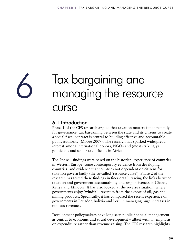6

# Tax bargaining and managing the resource curse

# 6.1 Introduction

Phase 1 of the CFS research argued that taxation matters fundamentally for governance: tax bargaining between the state and its citizens to create a social fiscal contract is central to building effective and accountable public authority (Moore 2007). The research has sparked widespread interest among international donors, NGOs and (most strikingly) politicians and senior tax officials in Africa.

The Phase 1 findings were based on the historical experience of countries in Western Europe, some contemporary evidence from developing countries, and evidence that countries not dependent on citizens for taxation govern badly (the so-called 'resource curse'). Phase 2 of the research has tested these findings in finer detail, tracing the links between taxation and government accountability and responsiveness in Ghana, Kenya and Ethiopia. It has also looked at the reverse situation, where governments enjoy 'windfall' revenues from the export of oil, gas and mining products. Specifically, it has compared the recent experience of governments in Ecuador, Bolivia and Peru in managing huge increases in non-tax revenues.

Development policymakers have long seen public financial management as central to economic and social development – albeit with an emphasis on expenditure rather than revenue-raising. The CFS research highlights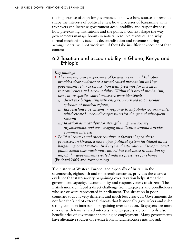the importance of both for governance. It shows: how sources of revenue shape the interests of political elites; how processes of bargaining with taxpayers can increase government accountability and responsiveness; how pre-existing institutions and the political context shape the way governments manage booms in natural resource revenues; and why formal mechanisms (such as decentralisation and revenue-sharing arrangements) will not work well if they take insufficient account of that context.

# 6.2 Taxation and accountability in Ghana, Kenya and Ethiopia

#### *Key findings*

- · *The contemporary experience of Ghana, Kenya and Ethiopia provides clear evidence of a broad causal mechanism linking government reliance on taxation with pressures for increased responsiveness and accountability. Within this broad mechanism, three more specific causal processes were identified:*
	- *i) direct tax bargaining with citizens, which led to particular episodes of political reform;*
	- *ii) tax resistance by citizens in response to unpopular governments, which created more indirect pressures for change and subsequent reform;*
	- *iii) taxation as a catalyst for strengthening civil society organisations, and encouraging mobilisation around broader common interests.*
- · *Political context and other contingent factors shaped these processes. In Ghana, a more open political system facilitated direct bargaining over taxation. In Kenya and especially in Ethiopia, overt public action was much more muted but resistance to taxation by unpopular governments created indirect pressures for change* (Prichard 2009 and forthcoming)

The history of Western Europe, and especially of Britain in the seventeenth, eighteenth and nineteenth centuries, provides the clearest evidence that state-society bargaining over taxation helps strengthen government capacity, accountability and responsiveness to citizens. The British monarch faced a direct challenge from taxpayers and bondholders who sat or were represented in parliament. The situation in poor countries today is very different and much less clear-cut. Governments do not face the kind of external threats that historically gave rulers and ruled strong common interests in bargaining over taxation. Taxpayers are more diverse, with fewer shared interests; and taxpayers are commonly also beneficiaries of government spending or employment. Many governments have alternative sources of revenue from natural resource rents and aid.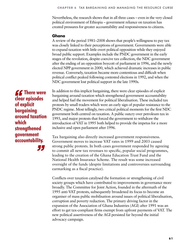Nevertheless, the research shows that in all three cases – even in the very closed political environment of Ethiopia – government reliance on taxation has created pressures for greater accountability and responsiveness to citizens.

#### **Ghana**

A review of the period 1981–2008 shows that people's willingness to pay tax was closely linked to their perceptions of government. Governments were able to expand taxation with little overt political opposition while they enjoyed broad public support. Examples include the PNDC government in the early stages of the revolution, despite coercive tax collection, the NDC government after the ending of an opposition boycott of parliament in 1996, and the newly elected NPP government in 2000, which achieved dramatic increases in public revenue. Conversely, taxation became more contentious and difficult when political conflict peaked following contested elections in 1992, and when the NDC government lost political support in the late 1990s.

*ff* There were **clear episodes of explicit bargaining around taxation which strengthened government accountability.**"

In addition to this implicit bargaining, there were clear episodes of explicit bargaining around taxation which strengthened government accountability and helped fuel the movement for political liberalisation. These included tax protests by small traders which were an early sign of popular resistance to the PNDC regime. Most tellingly, two critical political moments for the first NDC government both centred on taxation. A public outcry over petroleum tax in 1993, and major protests that forced the government to withdraw the introduction of VAT in 1995 both helped to provide the impetus for a more inclusive and open parliament after 1996.

Tax bargaining also directly increased government responsiveness. Government moves to increase VAT rates in 1999 and 2003 caused strong public protests. In both cases government responded by agreeing to commit all new tax revenues to specific, popular social programmes, leading to the creation of the Ghana Education Trust Fund and the National Health Insurance Scheme. The result was some increased oversight of the funds (despite limitations and controversies surrounding earmarking as a fiscal practice).

Conflicts over taxation catalysed the formation or strengthening of civil society groups which have contributed to improvements in governance more broadly. The Committee for Joint Action, founded in the aftermath of the 1995 anti-VAT protests, subsequently broadened its focus to become an organiser of mass public mobilisation around issues of political liberalisation, corruption and poverty reduction. The primary driving factor in the expansion of the Association of Ghana Industries (AGI) after 1991 was an effort to get tax-compliant firms exempt from upfront payments of VAT. The new political assertiveness of the AGI persisted far beyond the initial advocacy campaign.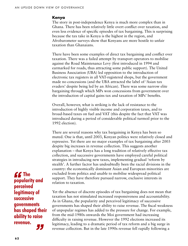#### **Kenya**

The story in post-independence Kenya is much more complex than in Ghana. There has been relatively little overt conflict over taxation, and even less evidence of specific episodes of tax bargaining. This is surprising because the tax take in Kenya is the highest in the region, and Afrobarometer surveys show that Kenyans are more hostile to unfair taxation than Ghanaians.

There have been some examples of direct tax bargaining and conflict over taxation. There was a failed attempt by transport operators to mobilise against the Road Maintenance Levy (first introduced in 1994 and earmarked for roads, thus attracting some public support). The United Business Association (UBA) led opposition to the introduction of electronic tax registers in all VAT-registered shops, but the government made no concessions (and the UBA attracted the label of 'Asian tax evaders' despite being led by an African). There was some narrow elite bargaining through which MPs won concessions from government over the introduction of capital gains tax and taxation of MPs' benefits.

Overall, however, what is striking is the lack of resistance to the introduction of highly visible income and corporation taxes, and to broad-based taxes on fuel and VAT (this despite the fact that VAT was introduced during a period of considerable political turmoil prior to the 1992 election).

There are several reasons why tax bargaining in Kenya has been so muted. One is that, until 2003, Kenyan politics were relatively closed and repressive. Yet there are no major examples of tax bargaining after 2003 despite big increases in revenue collection. This suggests another explanation – that Kenya has a long tradition of relatively effective tax collection, and successive governments have employed careful political strategies in introducing new taxes, implementing gradual 'reform by stealth'. A further factor has undoubtedly been the racial divisions in the country: the economically dominant Asian and European minorities are excluded from politics and unable to mobilise widespread political support. They have therefore pursued narrow, exclusive interests in relation to taxation.

Yet the absence of discrete episodes of tax bargaining does not mean that taxation has not stimulated increased responsiveness and accountability. As in Ghana, the popularity and perceived legitimacy of successive governments has shaped their ability to raise revenue. The fiscal weakness of unpopular regimes has added to the pressure for change. For example, from the mid-1980s onwards the Moi government had increasing difficulty in raising revenue. However the 1992 elections increased its legitimacy, leading to a dramatic period of tax reform and a big surge in revenue collection. But in the late 1990s revenue fell rapidly following a

*ff* The **popularity and perceived legitimacy of successive governments has shaped their ability to raise revenue.**77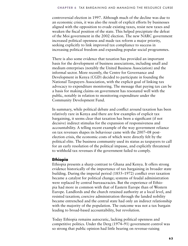controversial election in 1997. Although much of the decline was due to an economic crisis, it was also the result of explicit efforts by businesses aligned with the opposition to evade existing taxes, resist new taxes and weaken the fiscal position of the state. This helped precipitate the defeat of the Moi government in the 2002 election. The new NARC government increased political openness and made tax reform a major priority, seeking explicitly to link improved tax compliance to success in increasing political freedom and expanding popular social programmes.

There is also some evidence that taxation has provided an important basis for the development of business associations, including small and medium enterprises (notably the United Business Association) and the informal sector. More recently, the Centre for Governance and Development in Kenya (CGD) decided to participate in founding the National Taxpayers Association, with the explicit goal of linking tax advocacy to expenditure monitoring. The message that paying tax can be a basis for making claims on government has resonated well with the public, notably in relation to monitoring expenditure under the Community Development Fund.

In summary, while political debate and conflict around taxation has been relatively rare in Kenya and there are few examples of explicit tax bargaining, it seems clear that taxation has been a significant (if not decisive) indirect stimulus for the expansion of responsiveness and accountability. A telling recent example of the way government reliance on tax revenues shapes its behaviour came with the 2007–08 postelection crisis, the economic costs of which were directly felt by the political elite. The business community used its status as taxpayers to call for an early resolution of the political impasse, and explicitly threatened to withhold tax revenues if the government failed to comply.

#### **Ethiopia**

Ethiopia presents a sharp contrast to Ghana and Kenya. It offers strong evidence historically of the importance of tax bargaining in broader state building. During the imperial period (1855–1972) conflict over taxation became a catalyst for political change; systems of feudal administration were replaced by central bureaucracies. But the experience of Ethiopia had more in common with that of Eastern Europe than of Western Europe. Landlords and the church retained authority at a local level, and resisted taxation; coercive administration through the landed nobility became entrenched and the central state had only an indirect relationship with the majority of the population. The outcome was not a tax bargain leading to broad-based accountability, but revolution.

Today Ethiopia remains autocratic, lacking political openness and competitive politics. Under the Derg (1974–91) government control was so strong that public opinion had little bearing on revenue-raising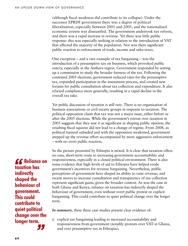(although fiscal weakness did contribute to its collapse). Under the successor EPRDF government there was a degree of political liberalisation, especially between 2001 and 2005, and the nationalised economic system was dismantled. The government undertook tax reform, and there was a rapid increase in revenue. Yet there was little public response: this was especially striking in relation to the introduction of VAT that affected the majority of the population. Nor was there significant public reaction to enforcement of trade, income and sales taxes.

One exception – and a rare example of tax bargaining – was the introduction of a presumptive tax on business, which provoked public outcry, especially in the Amhara region. Government responded by setting up a commission to study the broader fairness of the tax. Following the contested 2005 elections, government reduced rates for the presumptive tax, expanded participation in the assessment process, and created new forums for public consultation about tax collection and expenditure. It also relaxed compliance more generally, resulting in a rapid decline in the overall tax take.

Yet public discussion of taxation is still rare. There is no organisation of business associations or civil society groups in response to taxation. The political opposition claim that tax was not a major issue, either before or after the 2005 elections. While the government's retreat over taxation in 2005 suggests that they saw it as significant in shaping public opinion, the resulting fiscal squeeze did not lead to a change of regime. From 2008, as political turmoil subsided and with the opposition weakened, government stepped up the revenue effort accompanied by more aggressive enforcement – with no overt public reaction.

So the picture presented by Ethiopia is mixed. It is clear that taxation offers no easy, short-term route to increasing government accountability and responsiveness, especially in a closed political environment. There is also some evidence that high levels of aid to Ethiopia have helped erode government's incentives for revenue bargaining. Nevertheless, public perceptions of government have shaped its ability to raise revenue; and recent moves to increase consultation and transparency of tax collection represent significant gains, given the broader context. As was the case in both Ghana and Kenya, reliance on taxation has indirectly shaped the behaviour of government, even without overt public protest or explicit bargaining. This could contribute to quiet political change over the longer term.

*In summary*, these three case studies present clear evidence of:

i) explicit tax bargaining leading to increased accountability and responsiveness from government (notably protests over VAT in Ghana, and over presumptive tax in Ethiopia);

*CC* Reliance on **taxation has indirectly shaped the behaviour of government. This could contribute to quiet political change over the longer term.**77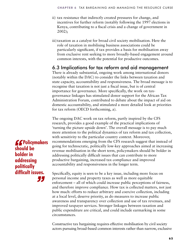- ii) tax resistance that indirectly created pressures for change, and incentives for further reform (notably following the 1997 elections in Kenya, contributing to a fiscal crisis and a change of government in 2002);
- iii) taxation as a catalyst for broad civil society mobilisation. Here the role of taxation in mobilising business associations could be particularly significant, if tax provides a basis for mobilisation away from exclusive rent seeking to more broadly-based engagement around common interests, with the potential for productive outcomes.

# 6.3 Implications for tax reform and aid management

There is already substantial, ongoing work among international donors (notably within the DAC) to consider the links between taxation and state capacity, accountability and responsiveness. The broad message is to recognise that taxation is not just a fiscal issue, but is of central importance for governance. More specifically, the work on taxgovernance linkages has stimulated donor support for the African Tax Administration Forum, contributed to debate about the impact of aid on domestic accountability, and stimulated a more detailed look at priorities for tax reform (OECD forthcoming, a).

The ongoing DAC work on tax reform, partly inspired by the CFS research, provides a good example of the practical implications of 'turning the picture upside down'. The overall message is to pay much more attention to the political dynamics of tax reform and tax collection, with sensitivity to the particular country context. Moreover, recommendations emerging from the CFS research suggest that instead of going for technocratic, politically low-key approaches aimed at increasing revenue mobilisation in the short term, policymakers should be bolder in addressing politically difficult issues that can contribute to more productive bargaining, increased tax compliance and improved accountability and responsiveness in the longer term.

Specifically, equity is seen to be a key issue, including more focus on personal income and property taxes as well as more equitable enforcement – all of which could increase public perceptions of fairness, and therefore improve compliance. How tax is collected matters, not just how much: efforts to reduce arbitrary and coercive collection, including at a local level, deserve priority, as do measures to increase public awareness and transparency over collection and use of tax revenues, and improved taxpayer services. Stronger linkages between taxation and public expenditure are critical, and could include earmarking in some circumstances.

Constructive tax bargaining requires effective mobilisation by civil society actors pursuing broad-based common interests rather than narrow, exclusive

*<u>Ffelicymakers</u>* **should be bolder in addressing politically difficult issues.**99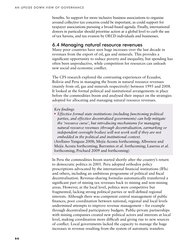benefits. So support for more inclusive business associations to organise around collective tax concerns could be important, as could support for taxpayer associations pursuing a broad-based agenda. Finally, international donors in particular should prioritise action at a global level to curb the use of tax havens, and tax evasion by OECD individuals and businesses.

## 6.4 Managing natural resource revenues

Many poor countries have seen huge increases over the last decade in revenues from the export of oil, gas and minerals. This provides a significant opportunity to reduce poverty and inequality, but spending has often been unproductive, while competition for resources can unleash new social and economic conflict.

The CFS research explored the contrasting experiences of Ecuador, Bolivia and Peru in managing the boom in natural resource revenues (mainly from oil, gas and minerals respectively) between 1995 and 2008. It looked at the formal political and institutional arrangements in place before the commodities boom and analysed their impact on the strategies adopted for allocating and managing natural resource revenues.

#### *Key findings*

· *Effective formal state institutions (including functioning political parties, and effective decentralised governments) can help mitigate the 'resource curse', but introducing mechanisms for managing natural resource revenues (through decentralisation, earmarking or independent oversight bodies) will not work well if they are not embedded in the political and institutional context.*

(Arellano-Yanguas 2008; Mejía Acosta forthcoming; Albornoz and Mejía Acosta forthcoming; Barrantes *et al*. forthcoming; Laserna *et al*. forthcoming; Prichard 2009 and forthcoming)

In Peru the commodities boom started shortly after the country's return to democratic politics in 2001. Peru adopted orthodox policy prescriptions advocated by the international financial institutions (IFIs) and others, including an ambitious programme of political and fiscal decentralisation. Revenue-sharing formulas automatically transferred a significant part of mining tax revenues back to mining and non-mining areas. However, at the local level, politics were competitive but fragmented, lacking strong political parties or well-defined regional interests. Although there was competent central management of public finances, poor coordination between national, regional and local levels undermined attempts to improve revenue management – for example through decentralised participatory budgets. Public-private partnerships with mining companies created new political actors and interests at local level, making coordination more difficult and giving rise to new sources of conflict. Local governments lacked the capacity to manage the huge increases in revenue resulting from the system of automatic transfers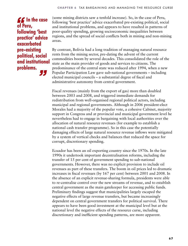*<u>f</u>* In the case **of Peru, following 'best practice' advice exacerbated pre-existing political, social and institutional problems.**77

(some mining districts saw a tenfold increase). So, in the case of Peru, following 'best practice' advice exacerbated pre-existing political, social and institutional problems, and appears to have resulted in patterns of poor-quality spending, growing socioeconomic inequalities between regions, and the spread of social conflicts both in mining and non-mining areas.

By contrast, Bolivia had a long tradition of managing natural resource rents from the mining sector, pre-dating the advent of the current commodities boom by several decades. This consolidated the role of the state as the main provider of goods and services to citizens. The predominance of the central state was reduced after 1994, when a new Popular Participation Law gave sub-national governments – including elected municipal councils – a substantial degree of fiscal and administrative autonomy from central government.

Fiscal revenues (mainly from the export of gas) more than doubled between 2003 and 2008, and triggered immediate demands for redistribution from well-organised regional political actors, including municipal and regional governments. Although in 2006 president-elect Morales had a majority of the popular vote, a cohesive Cabinet, majority support in Congress and at provincial and municipal government level he nevertheless had to engage in bargaining with local authorities over the allocation of natural resource revenues (for example to establish a national cash transfer programme). So in this case the potentially damaging effects of large natural resource revenue inflows were mitigated by a system of vertical checks and balances that reduced the space for corrupt, discretionary spending.

Ecuador has been an oil exporting country since the 1970s. In the late 1990s it undertook important decentralisation reforms, including the transfer of 15 per cent of government spending to sub-national governments. However, there was no explicit provision to include oil revenues as part of these transfers. The boom in oil prices led to dramatic increases in fiscal revenues (by 167 per cent) between 2001 and 2008. In the absence of an explicit revenue-sharing formula, presidents were able to re-centralise control over the new streams of revenue, and to establish central government as the main gatekeeper for accessing public funds. Preliminary findings suggest that municipalities largely escaped the negative effects of large revenue transfers, but became increasingly dependent on central government transfers for political survival. There appears to have been good investment at the municipal level but at the national level the negative effects of the resource curse, including discretionary and inefficient spending patterns, are more apparent.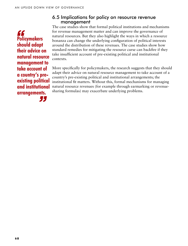## 6.5 Implications for policy on resource revenue management

**Policymakers should adapt their advice on natural resource management to take account of a country's preexisting political and institutional arrangements.**"

The case studies show that formal political institutions and mechanisms for revenue management matter and can improve the governance of natural resources. But they also highlight the ways in which a resource bonanza can change the underlying configuration of political interests around the distribution of these revenues. The case studies show how standard remedies for mitigating the resource curse can backfire if they take insufficient account of pre-existing political and institutional contexts.

More specifically for policymakers, the research suggests that they should adapt their advice on natural resource management to take account of a country's pre-existing political and institutional arrangements; the institutional fit matters. Without this, formal mechanisms for managing natural resource revenues (for example through earmarking or revenuesharing formulas) may exacerbate underlying problems.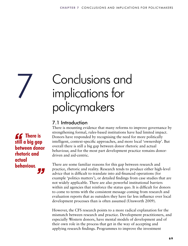*<u>f</u>* There is **still a big gap between donor rhetoric and actual behaviour.**"

7

# Conclusions and implications for policymakers

# 7.1 Introduction

There is mounting evidence that many reforms to improve governance by strengthening formal, rules-based institutions have had limited impact. Donors have responded by recognising the need for more politically intelligent, context-specific approaches, and more local 'ownership'. But overall there is still a big gap between donor rhetoric and actual behaviour, and for the most part development practice remains donordriven and aid-centric.

There are some familiar reasons for this gap between research and practice, rhetoric and reality. Research tends to produce either high-level advice that is difficult to translate into aid-financed operations (for example 'politics matters'), or detailed findings from case studies that are not widely applicable. There are also powerful institutional barriers within aid agencies that reinforce the status quo. It is difficult for donors to come to terms with the consistent message coming from research and evaluation reports that as outsiders they have far less influence over local development processes than is often assumed (Unsworth 2009).

However, the CFS research points to a more radical explanation for the mismatch between research and practice. Development practitioners, and especially Western donors, have mental models of development and of their own role in the process that get in the way of accepting and applying research findings. Programmes to improve the investment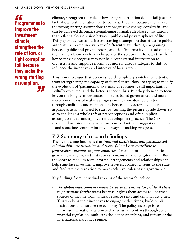**Programmes to improve the investment climate, strengthen the rule of law, or fight corruption fail because they make the wrong starting assumption.**55

climate, strengthen the rule of law, or fight corruption do not fail just for lack of ownership or attention to politics. They fail because they make the wrong starting assumption: that progressive change consists in, and can be achieved through, strengthening formal, rules-based institutions that reflect a clear division between public and private spheres of life. This paper advocates a different starting assumption: that effective public authority is created in a variety of different ways, through bargaining between public and private actors, and that 'informality', instead of being the main problem, could also be part of the solution. It follows that the key to making progress may not be direct external intervention to orchestrate and support reform, but more indirect strategies to shift or influence the incentives and interests of local actors.

This is not to argue that donors should completely switch their attention from strengthening the capacity of formal institutions, to trying to modify the evolution of 'patrimonial' systems. The former is still important, if skilfully executed, and the latter is sheer hubris. But they do need to focus less on the long-term destination of rules-based governance, and more on incremental ways of making progress in the short-to-medium term through coalitions and relationships between key actors. Like our aspiring artists, they need to start by 'turning the picture upside down' so as to challenge a whole raft of preconceptions and often implicit assumptions that underpin current development practice. The CFS research illustrates vividly why this is important, and suggests some new – and sometimes counter-intuitive – ways of making progress.

# 7.2 Summary of research findings

The overarching finding is that *informal institutions and personalised relationships are pervasive and powerful and can contribute to progressive outcomes in poor countries.* Creating formal democratic government and market institutions remains a valid long-term aim. But in the short-to-medium term informal arrangements and relationships can help stimulate investment, improve services, connect citizens to the state and facilitate the transition to more inclusive, rules-based governance.

Key findings from individual streams of the research include:

i) *The global environment creates perverse incentives for political elites to perpetuate fragile states* because it gives them access to unearned sources of income from natural resource rents and criminal activities. This weakens their incentives to engage with citizens, build public institutions and nurture the economy. The policy message is to prioritise international action to change such incentives through better financial regulation, multi-stakeholder partnerships, and reform of the international narcotics regime.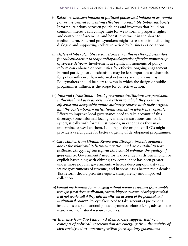- ii) *Relations between holders of political power and holders of economic power are central to creating effective, accountable public authority*. Informal relations between politicians and investors that build on common interests can compensate for weak formal property rights and contract enforcement, and boost investment in the short-tomedium term. External policymakers might have a role in facilitating dialogue and supporting collective action by business associations.
- iii)*Different types of public sector reform can influence the opportunities for collective actors to shape policy and organise effective monitoring of service delivery.* Involvement at significant moments of policy reform can enhance opportunities for effective ongoing engagement. Formal participatory mechanisms may be less important as channels for policy influence than informal networks and relationships. Policymakers should be alert to ways in which the design of public programmes influences the scope for collective action.
- iv) *Informal ('traditional') local governance institutions are persistent, influential and very diverse. The extent to which they exercise effective and acceptable public authority reflects both their origins, and the contemporary institutional context in which they operate.*  Efforts to improve local governance need to take account of this diversity. Some informal local governance institutions can work synergistically with formal institutions; in other cases they may undermine or weaken them. Looking at the origins of ILGIs might provide a useful guide for better targeting of development programmes.
- v) *Case studies from Ghana, Kenya and Ethiopia provide evidence about the relationship between taxation and accountability that indicates the type of tax reform that should enhance the quality of governance.* Governments' need for tax revenue has driven implicit or explicit bargaining with citizens; tax compliance has been greater under more popular governments whereas deep unpopularity can starve governments of revenue, and in some cases hasten their demise. Tax reform should prioritise equity, transparency and improved collection.
- vi) *Formal mechanisms for managing natural resource revenues (for example through fiscal decentralisation, earmarking or revenue-sharing formulas) will not work well if they take insufficient account of the political and institutional context.* Policymakers need to take account of pre-existing institutions and sub-national political dynamics before offering advice on the management of natural resource revenues.
- vii)*Evidence from São Paulo and Mexico City suggests that new concepts of political representation are emerging from the activity of civil society actors, operating within participatory governance*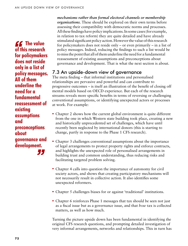*ff* The value **of this research for policymakers does not reside only in a list of policy messages. All of them underline the need for a fundamental reassessment of existing assumptions and preconceptions about governance and development.**"

*mechanisms rather than formal electoral channels or membership organisations.* These should be explored on their own terms before assessing their compatibility with democratic norms and processes. All these findings have policy implications. In some cases (for example, in relation to tax reform) they are quite detailed and have already stimulated significant policy action. However the value of this research for policymakers does not reside only – or even primarily – in a list of policy messages. Indeed, reducing the findings to such a list would be to miss the point that all of them underline the need for a fundamental reassessment of existing assumptions and preconceptions about governance and development. That is what the next section is about.

# 7.3 An upside-down view of governance

The meta finding – that informal institutions and personalised relationships are pervasive and powerful and can contribute to progressive outcomes – is itself an illustration of the benefit of closing off mental models based on OECD experience. But each of the research streams reveals more specific benefits in terms of reversing or challenging conventional assumptions, or identifying unexpected actors or processes at work. For example:

- · Chapter 2 shows how the current global environment is quite different from the one in which Western state building took place, creating a new and historically unprecedented set of challenges, which have until recently been neglected by international donors (this is starting to change, partly in response to the Phase 1 CFS research).
- · Chapter 3 challenges conventional assumptions about the importance of legal arrangements to protect property rights and enforce contracts, and highlights the unexpected role of personalised arrangements in building trust and common understanding, thus reducing risks and facilitating targeted problem solving.
- · Chapter 4 calls into question the importance of autonomy for civil society actors, and shows that creating participatory mechanisms will not necessarily result in collective action. It also identifies some unexpected reformers.
- · Chapter 5 challenges biases for or against 'traditional' institutions.
- · Chapter 6 reinforces Phase 1 messages that tax should be seen not just as a fiscal issue but as a governance issue, and that *how* tax is collected matters, as well as how much.

Turning the picture upside down has been fundamental in identifying the original CFS research questions, and prompting detailed investigation of very informal arrangements, networks and relationships. This in turn has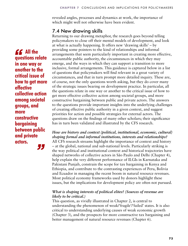revealed angles, processes and dynamics at work, the importance of which might well not otherwise have been evident.

# 7.4 New drawing skills

Returning to our drawing metaphor, the research goes beyond telling policymakers to close off their mental models of development, and look at what is actually happening. It offers new 'drawing skills' – by providing some pointers to the kind of relationships and informal arrangements that seem particularly important in creating more effective, accountable public authority, the circumstances in which they may emerge, and the ways in which they can support a transition to more inclusive, formal arrangements. This guidance is captured below in a list of questions that policymakers will find relevant in a great variety of circumstances, and that in turn prompt more detailed inquiry. These are, of course, not the only questions worth asking, but they do cover many of the strategic issues bearing on development practice. In particular, all the questions relate in one way or another to the critical issue of how to get more effective collective action among societal groups, and more constructive bargaining between public and private actors. The answers to the questions provide important insights into the underlying challenges of creating effective public authority in a given context, and suggest priorities for action and possible strategies for external actors. The questions draw on the findings of many other scholars; their significance has in turn been validated and illustrated by the CFS research.

*How are history and context (political, institutional, economic, cultural) shaping formal and informal institutions, interests and relationships?* All CFS research streams highlight the importance of context and history – at the global, national and sub-national levels. Particularly striking is the way political and institutional context and historical trajectories have shaped networks of collective actors in São Paulo and Delhi (Chapter 4), help explain the very different performance of ILGIs in Karnataka and Pakistani Punjab, constrain the scope for tax bargaining in Kenya and Ethiopia, and contribute to the contrasting experiences of Peru, Bolivia and Ecuador in managing the recent boom in natural resource revenues. Most political economy frameworks used by donors highlight these issues, but the implications for development policy are often not pursued.

#### *What is shaping interests of political elites? (Sources of revenue are likely to be critical.)*

This question, as vividly illustrated in Chapter 2, is central to understanding the phenomenon of weak/'fragile'/'failed' states. It is also critical to understanding underlying causes of weak economic growth (Chapter 3), and the prospects for more constructive tax bargaining and better management of natural resource revenues (Chapter 6).

*AL* All the **questions relate in one way or another to the critical issue of how to get more effective collective action among societal groups, and more constructive bargaining between public and private actors.**"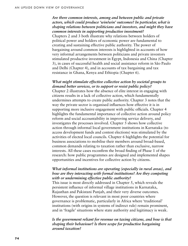*Are there common interests, among and between public and private actors, which could produce 'win/win' outcomes? In particular, what is shaping relations between politicians and investors, and might they have common interests in supporting productive investment?* Chapters 2 and 3 both illustrate why relations between holders of political power and holders of economic power are fundamental to creating and sustaining effective public authority. The power of bargaining around common interests is highlighted in accounts of how very informal arrangements between politicians and private investors stimulated productive investment in Egypt, Indonesia and China (Chapter 3), in cases of successful health and social assistance reform in São Paulo and Delhi (Chapter 4), and in accounts of tax bargaining and tax resistance in Ghana, Kenya and Ethiopia (Chapter 6).

## *What might stimulate effective collective action by societal groups to demand better services, or to support or resist public policy?*

Chapter 2 illustrates how the absence of elite interest in engaging with citizens results in a lack of collective action, which fundamentally undermines attempts to create public authority. Chapter 3 notes that the way the private sector is organised influences how effective it is in supporting more inclusive engagement with public officials. Chapter 4 highlights the fundamental importance of collective action around policy reform and social accountability in improving service delivery, and investigates the processes involved. Chapter 5 shows how collective action through informal local government institutions in Karnataka (to access development funds and contest elections) was stimulated by the activities of elected local councils. Chapter 6 highlights the potential for business associations to mobilise their members around broad-based, common demands relating to taxation rather than exclusive, narrow interests. All these cases reconfirm the broad finding of Phase 1 of the research: how public programmes are designed and implemented shapes opportunities and incentives for collective action by citizens.

#### *What informal institutions are operating (especially in rural areas), and how are they interacting with formal institutions? Are they competing with or undermining effective public authority?*

This issue is most directly addressed in Chapter 5, which reveals the persistent influence of informal village institutions in Karnataka, Rajasthan and Pakistani Punjab, and their very diverse outcomes. However, the question is relevant in most poor countries where governance is problematic, particularly in Africa where 'traditional' institutions (with origins in systems of indirect rule) remain prominent, and in 'fragile' situations where state authority and legitimacy is weak.

#### *Is the government reliant for revenue on taxing citizens, and how is that shaping their behaviour? Is there scope for productive bargaining around taxation?*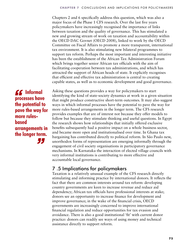Chapters 2 and 6 specifically address this question, which was also a major focus of the Phase 1 CFS research. Over the last five years policymakers have increasingly recognised the importance of links between taxation and the quality of governance. This has stimulated a new and growing stream of work on taxation and accountability within the OECD DAC Govnet (OECD 2008), linked to work by the OECD Committee on Fiscal Affairs to promote a more transparent, international tax environment. It is also stimulating new bilateral programmes to support tax reform. Perhaps the most important and interesting initiative has been the establishment of the African Tax Administration Forum which brings together senior African tax officials with the aim of facilitating cooperation between tax administrations, and which has attracted the support of African heads of state. It explicitly recognises that efficient and effective tax administration is central to creating capable states, as well as to economic development and good governance.

*<u>ff* Informal</u> **processes have the potential to pave the way for more rulesbased arrangements in the longer term.**99

Asking these questions provides a way for policymakers to start identifying the kind of state-society dynamics at work in a given situation that might produce constructive short-term outcomes. It may also suggest ways in which informal processes have the potential to pave the way for more rules-based arrangements in the longer term. The CFS research provides examples that are of interest not because they offer models to follow but because they stimulate thinking and useful questions. In Egypt the research shows how relationships that initially offered exclusive benefits subsequently had a positive impact on a whole business sector, and became more open and institutionalised over time. In Ghana tax bargaining has contributed directly to political reform. In São Paulo new, unorthodox forms of representation are emerging informally through the engagement of civil society organisations in participatory governance mechanisms. In Karnataka the interaction of elected village councils with very informal institutions is contributing to more effective and accountable local governance.

# 7 .5 Implications for policymakers

Taxation is a relatively unusual example of the CFS research directly stimulating and informing practice by international donors. It reflects the fact that there are common interests around tax reform: developing country governments are keen to increase revenue and reduce aid dependency; African tax officials have professional interests at stake; donors see an opportunity to increase finance for development and improve governance; in the wake of the financial crisis, OECD governments are increasingly concerned to improve international financial regulation and reduce opportunities for tax evasion and avoidance. There is also a good institutional 'fit' with current donor practice: donors can readily see ways of using money and technical assistance directly to support reform.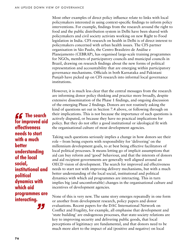Most other examples of direct policy influence relate to links with local policymakers interested in using context-specific findings to inform policy interventions. For example, findings from the research around the right to food and the public distribution system in Delhi have been shared with policymakers and civil society activists working on new Right to Food legislation in India. CFS research on health in Delhi is of direct interest to policymakers concerned with urban health issues. The CFS partner organisation in São Paulo, the Centro Brasileiro de Análise e Planejamento (CEBRAP), has organised large-scale training programmes for NGOs, members of participatory councils and municipal councils in Brazil, drawing on research findings about the new forms of political representation and accountability that are emerging within participatory governance mechanisms. Officials in both Karnataka and Pakistani Punjab have picked up on CFS research into informal local governance institutions.

However, it is much less clear that the central messages from the research are informing donor policy thinking and practice more broadly, despite extensive dissemination of the Phase 1 findings, and ongoing discussion of the emerging Phase 2 findings. Donors are not routinely asking the kind of questions set out in Section 7.4 above, or following through on their implications. This is not because the importance of such questions is actively disputed, or because they have no practical implications for policy. But they do not offer a good institutional or ideological fit with the organisational culture of most development agencies.

Taking such questions seriously implies a change in how donors see their role – from being experts with responsibility for 'delivering' on the millennium development goals, to at best being effective facilitators of local political processes. It means letting go of implicit assumptions that aid can buy reform and 'good' behaviour, and that the interests of donors and aid recipient governments are generally well aligned around an OECD vision of development. The search for improved aid effectiveness needs to start not with improving delivery mechanisms, but with a much better understanding of the local social, institutional and political dynamics with which aid programmes are interacting. This in turn implies big (and uncomfortable) changes in the organisational culture and incentives of development agencies.

None of this is very new. The same story emerges repeatedly in one form or another from development research, policy papers and donor evaluations. Recent papers for the DAC International Network on Conflict and Fragility, for example, all emphasise that development and 'state building' are endogenous processes, that state-society relations are key to improving security and delivering public goods, that local perceptions of legitimacy are fundamental, and that donors need to be much more alert to the impact of aid (positive and negative) on local

*<u>f</u>* The search **for improved aid effectiveness needs to start with a much better understanding of the local social, institutional and political dynamics with which aid programmes are interacting.**"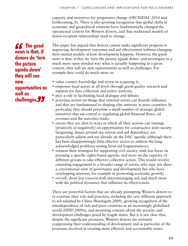capacity and incentives for progressive change (OECD/DAC 2010 and forthcoming, b). There is also growing recognition that global shifts in economic and geopolitical relations have fundamentally changed the operational context for Western donors, and that traditional models of donor-recipient relationships need to change.

This paper has argued that donors cannot make significant progress in improving development outcomes and aid effectiveness without changing their mental models of how development happens. However, the good news is that, if they do 'turn the picture upside down' and investigate in a much more open-minded way what is actually happening in a given context, they will see new opportunities as well as challenges. For example they could do much more to:

- value country knowledge and invest in acquiring it;
- · empower local actors at all levels through good-quality research and support for data collection and policy analysis;
- · play a role in facilitating local dialogue and debate;
- prioritise action on things that external actors can directly influence, and that are fundamental to shaping elite interests in poor countries. In particular, they should prioritise a small number of strategic global initiatives that are central to regulating global financial flows, oil revenues and the narcotics trade;
- · ensure they are alert to ways in which all their actions can impinge (positively or negatively) on opportunities for constructive state-society bargaining. Issues around tax reform and aid dependency are particularly salient and are already on the DAC agenda (although there has been disappointingly little effective action to address the longacknowledged problems arising from aid fragmentation);
- reassess their strategies for supporting civil society, with less focus on pursuing a specific rights-based agenda, and more on the capacity of different groups to take effective collective action. This would involve extending engagement to a broader range of actors, who may not share a conventional view of governance and development but who have overlapping interests, for example in promoting economic growth;
- · overall, show less concern with micromanaging aid, and much more with the political dynamics that influence its effectiveness.

There are powerful factors that are already prompting Western donors to re-examine their role and practices, including the very different approach to aid adopted by China (Brautigam 2009), growing recognition of the interdependence of rich and poor countries in an increasingly globalised world (DFID 2009a), and mounting concern about the security and development challenges posed by fragile states. But it is not clear that, despite the significant pressures, Western donors are seriously reappraising their understanding of development and in particular of the processes involved in creating more effective and accountable states.

*<u>ff</u>* The good **news is that, if donors do 'turn the picture upside down' they will see new opportunities as well as challenges.**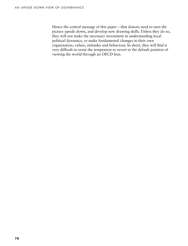Hence the central message of this paper – that donors need to turn the picture upside down, and develop new drawing skills. Unless they do so, they will not make the necessary investment in understanding local political dynamics, or make fundamental changes in their own organisation, values, attitudes and behaviour. In short, they will find it very difficult to resist the temptation to revert to the default position of viewing the world through an OECD lens.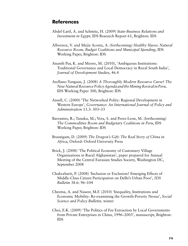## **References**

- Abdel-Latif, A. and Schmitz, H. (2009) *State-Business Relations and Investment in Egypt*, IDS Research Report 61, Brighton: IDS
- Albornoz, V. and Mejía Acosta, A. (forthcoming) *Healthy Slaves: Natural Resource Boom, Budget Coalitions and Municipal Spending*, IDS Working Paper, Brighton: IDS
- Ananth Pur, K. and Moore, M. (2010), 'Ambiguous Institutions: Traditional Governance and Local Democracy in Rural South India', *Journal of Development Studies*, 46.4
- Arellano-Yanguas, J. (2008) *A Thoroughly Modern Resource Curse? The New Natural Resource Policy Agenda and the Mining Revival in Peru,*  IDS Working Paper 300, Brighton: IDS
- Ansell, C. (2000) 'The Networked Polity: Regional Development in Western Europe', *Governance: An International Journal of Policy and Administration* 13.3: 303–33
- Barrantes, R.; Tanaka, M.; Vera, S. and Perez-Leon, M. (forthcoming) *The Commodities Boom and Budgetary Coalitions in Peru*, IDS Working Paper, Brighton: IDS
- Brautigam, D. (2009) *The Dragon's Gift: The Real Story of China in Africa*, Oxford: Oxford University Press
- Brick, J. (2008) 'The Political Economy of Customary Village Organisations in Rural Afghanistan', paper prepared for Annual Meeting of the Central Eurasian Studies Society, Washington DC, September 2008
- Chakrabarti, P. (2008) 'Inclusion or Exclusion? Emerging Effects of Middle-Class Citizen Participation on Delhi's Urban Poor', *IDS Bulletin* 38.6: 96–104
- Cheema, A. and Naseer, M.F. (2010) 'Inequality, Institutions and Economic Mobility: Re-examining the Growth-Poverty Nexus', *Social Science and Policy Bulletin,* winter
- Choi, E.K. (2009) 'The Politics of Fee Extraction by Local Governments from Private Enterprises in China, 1996–2003', manuscript, Brighton: IDS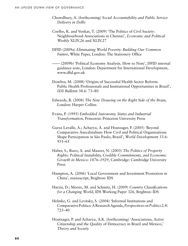- Chowdhury, A. (forthcoming) *Social Accountability and Public Service Delivery in Delhi*
- Coelho, K. and Venkat, T. (2009) 'The Politics of Civil Society: Neighbourhood Associations in Chennai', *Economic and Political Weekly* XLIV.26 and XLIV.27

DFID (2009a) *Eliminating World Poverty: Building Our Common Future*, White Paper, London: The Stationery Office

—— (2009b) 'Political Economy Analysis. How to Note', DFID internal guidance note, London: Department for International Development, www.dfid.gov.uk

Dowbor, M. (2008) 'Origins of Successful Health Sector Reform: Public Health Professionals and Institutional Opportunities in Brazil', *IDS Bulletin* 38.6: 73–80

Edwards, B. (2008) *The New Drawing on the Right Side of the Brain*, London: Harper Collins

Evans, P. (1995) *Embedded Autonomy. States and Industrial Transformation*, Princeton: Princeton University Press

Gurza Lavalle, A.; Acharya, A. and Houtzager, P. (2005) 'Beyond Comparative Anecdotalism: How Civil and Political Organizations Shape Participation in São Paulo, Brazil', *World Development* 33.6: 951–61

- Haber, S.; Razo, A. and Maurer, N. (2003) *The Politics of Property Rights: Political Instability, Credible Commitments, and Economic Growth in Mexico: 1876–1929*, Cambridge: Cambridge University Press
- Hampton, A. (2006) 'Local Government and Investment Promotion in China', manuscript, Brighton: IDS

Harris, D.; Moore, M. and Schmitz, H. (2009) *Country Classifications for a Changing World*, IDS Working Paper 326, Brighton: IDS

Helmke, G. and Levitsky, S. (2004) 'Informal Institutions and Comparative Politics: A Research Agenda, *Perspectives on Politics* 2.4: 725–40

Houtzager, P. and Acharya, A.K. (forthcoming) 'Associations, Active Citizenship and the Quality of Democracy in Brazil and Mexico,' *Theory and Society*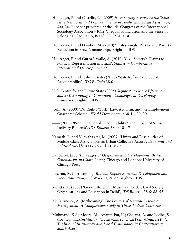- Houtzager, P. and Castello, G. (2009) *How Society Permeates the State: Issue Networks and Policy Influence in Health and Social Assistance,*  São Paulo, paper presented at the 14<sup>th</sup> Congress of the International Sociology Association – RC2, 'Inequality, Inclusion and the Sense of Belonging', São Paulo, Brazil, 23–25 August
- Houtzager, P. and Dowbor, M. (2010) 'Professionals, Parties and Poverty Reduction in Brazil', manuscript, Brighton: IDS
- Houtzager, P. and Gurza Lavalle, A. (2010) 'Civil Society's Claims to Political Representation in Brazil', *Studies in Comparative International Development* 45
- Houtzager, P. and Joshi, A. (eds) (2008) 'State Reform and Social Accountability', *IDS Bulletin* 38.6
- IDS, Centre for the Future State (2005) *Signposts to More Effective States: Responding to Governance Challenges in Developing Countries*, Brighton: IDS
- Joshi, A. (2009) 'Do Rights Work? Law, Activism, and the Employment Guarantee Scheme', *World Development* 38.4: 620–30
- *—* (2008) 'Producing Social Accountability? The Impact of Service Delivery Reforms', *IDS Bulletin* 38.6: 10–17
- Kamath, L. and Vijayabaskar, M. (2009) 'Limits and Possibilities of Middle-Class Associations as Urban Collective Actors', *Economic and Political Weekly* XLIV.26 and XLIV.27
- Lange, M. (2009) *Lineages of Despotism and Development: British Colonialism and State Power,* Chicago and London: University of Chicago Press
- Laserna, R. (forthcoming) *Bolivia: Export Bonanza, Development and Decentralisation,* IDS Working Paper, Brighton: IDS
- Mehtta, A. (2008) 'Good Effort, But Must Try Harder: Civil Society Organisations and Education in Delhi', *IDS Bulletin* 38.6: 88–95
- Mejía Acosta, A. (forthcoming) *The Politics of Natural Resource Management: A Comparative Study of Three Andean Countries*
- Mohmand, K.S.; Moore, M.; Ananth Pur, K.; Cheema, A. and Lodha, S. (forthcoming) *Institutional Legacy and Practical Policy: Indirect Rule, Traditional Institutions and Local Governance in Contemporary South Asia*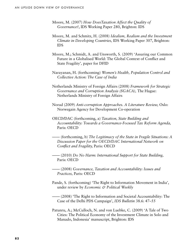- Moore, M. (2007) *How DoesTaxation Affect the Quality of Governance?*, IDS Working Paper 280, Brighton: IDS
- Moore, M. and Schmitz, H. (2008) *Idealism, Realism and the Investment Climate in Developing Countries,* IDS Working Paper 307, Brighton: IDS
- Moore, M.; Schmidt, A. and Unsworth, S. (2009) 'Assuring our Common Future in a Globalised World: The Global Context of Conflict and State Fragility'*,* paper for DFID
- Narayanan, H. (forthcoming) *Women's Health, Population Control and Collective Action: The Case of India*
- Netherlands Ministry of Foreign Affairs (2008) *Framework for Strategic Governance and Corruption Analysis (SGACA),* The Hague: Netherlands Ministry of Foreign Affairs
- Norad (2009) *Anti-corruption Approaches. A Literature Review,* Oslo: Norwegain Agency for Development Co-operation
- OECD/DAC (forthcoming, a) *Taxation, State Building and Accountability: Towards a Governance-Focused Tax Reform Agenda,*  Paris: OECD
- —— (forthcoming, b) *The Legitimacy of the State in Fragile Situations: A Discussion Paper for the OECD/DAC International Network on Conflict and Fragility,* Paris: OECD
- —— (2010) *Do No Harm: International Support for State Building,*  Paris: OECD
- —— (2008) *Governance, Taxation and Accountability: Issues and Practices,* Paris: OECD
- Pande, S. (forthcoming) 'The Right to Information Movement in India', under review by *Economic & Political Weekly*

—— (2008) 'The Right to Information and Societal Accountability: The Case of the Delhi PDS Campaign', *IDS Bulletin* 38.6: 47–55

Patunru, A.; McCulloch, N. and von Luebke, C. (2009) 'A Tale of Two Cities: The Political Economy of the Investment Climate in Solo and Manado, Indonesia' manuscript, Brighton: IDS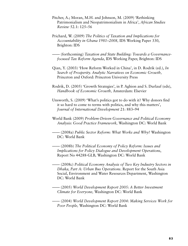- Pitcher, A.; Moran, M.H. and Johnson, M. (2009) 'Rethinking Patrimonialism and Neopatrimonialism in Africa', *African Studies Review* 52.1: 125–56
- Prichard, W. (2009) *The Politics of Taxation and Implications for Accountability in Ghana 1981–2008,* IDS Working Paper 330, Brighton: IDS

—— (forthcoming) *Taxation and State Building: Towards a Governancefocused Tax Reform Agenda*, IDS Working Paper, Brighton: IDS

- Qian, Y. (2003) 'How Reform Worked in China', in D. Rodrik (ed.), *In Search of Prosperity. Analytic Narratives on Economic Growth,*  Princeton and Oxford: Princeton University Press
- Rodrik, D. (2005) 'Growth Strategies', in P. Aghion and S. Durlauf (eds), *Handbook of Economic Growth,* Amsterdam: Elsevier
- Unsworth, S. (2009) 'What's politics got to do with it? Why donors find it so hard to come to terms with politics, and why this matters', *Journal of International Development* 21: 883–94
- World Bank (2009) *Problem-Driven Governance and Political Economy Analysis: Good Practice Framework,* Washington DC: World Bank
- —— (2008a) *Public Sector Reform: What Works and Why?* Washington DC: World Bank
- —— (2008b) *The Political Economy of Policy Reform: Issues and Implications for Policy Dialogue and Development Operations*, Report No 44288-GLB*,* Washington DC: World Bank
- —— (2008c) *Political Economy Analysis of Two Key Industry Sectors in Dhaka, Part A: Urban Bus Operations*. Report for the South Asia Social, Environment and Water Resources Department, Washington DC: World Bank

—— (2005) *World Development Report 2005: A Better Investment Climate for Everyone,* Washington DC: World Bank

—— (2004) *World Development Report 2004: Making Services Work for Poor People,* Washington DC: World Bank